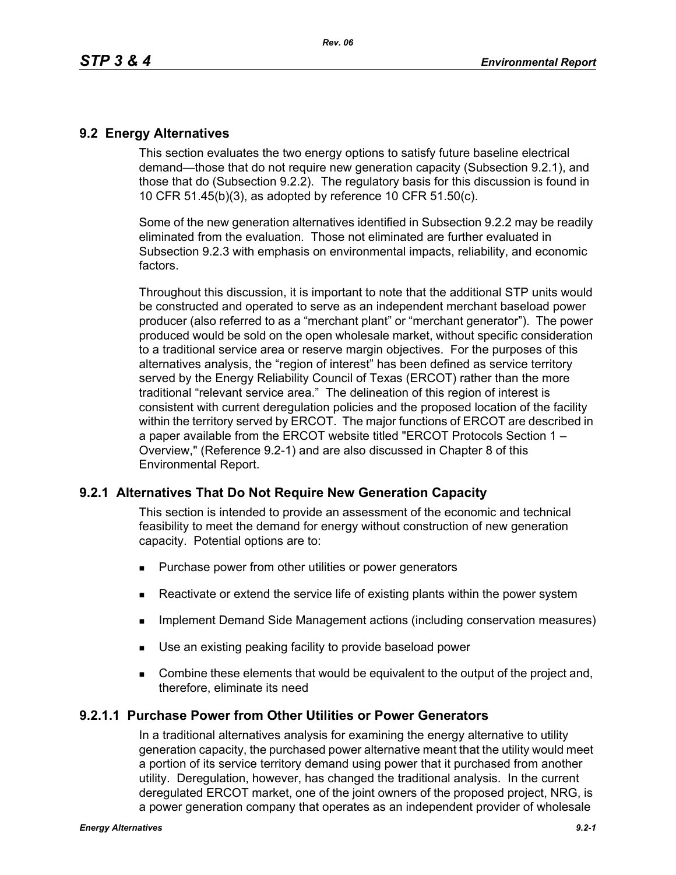## **9.2 Energy Alternatives**

This section evaluates the two energy options to satisfy future baseline electrical demand—those that do not require new generation capacity (Subsection 9.2.1), and those that do (Subsection 9.2.2). The regulatory basis for this discussion is found in 10 CFR 51.45(b)(3), as adopted by reference 10 CFR 51.50(c).

Some of the new generation alternatives identified in Subsection 9.2.2 may be readily eliminated from the evaluation. Those not eliminated are further evaluated in Subsection 9.2.3 with emphasis on environmental impacts, reliability, and economic factors.

Throughout this discussion, it is important to note that the additional STP units would be constructed and operated to serve as an independent merchant baseload power producer (also referred to as a "merchant plant" or "merchant generator"). The power produced would be sold on the open wholesale market, without specific consideration to a traditional service area or reserve margin objectives. For the purposes of this alternatives analysis, the "region of interest" has been defined as service territory served by the Energy Reliability Council of Texas (ERCOT) rather than the more traditional "relevant service area." The delineation of this region of interest is consistent with current deregulation policies and the proposed location of the facility within the territory served by ERCOT. The major functions of ERCOT are described in a paper available from the ERCOT website titled "ERCOT Protocols Section 1 – Overview," (Reference 9.2-1) and are also discussed in Chapter 8 of this Environmental Report.

# **9.2.1 Alternatives That Do Not Require New Generation Capacity**

This section is intended to provide an assessment of the economic and technical feasibility to meet the demand for energy without construction of new generation capacity. Potential options are to:

- **Purchase power from other utilities or power generators**
- **EXECT** Reactivate or extend the service life of existing plants within the power system
- **IMPLEMENTER IMPLEMENT MANAGEMENT ACTS IMPLEMENT CONSERVATION MANAGEMENT IMPLEMENT IMPLEMENT CONSET**
- Use an existing peaking facility to provide baseload power
- **Combine these elements that would be equivalent to the output of the project and,** therefore, eliminate its need

### **9.2.1.1 Purchase Power from Other Utilities or Power Generators**

In a traditional alternatives analysis for examining the energy alternative to utility generation capacity, the purchased power alternative meant that the utility would meet a portion of its service territory demand using power that it purchased from another utility. Deregulation, however, has changed the traditional analysis. In the current deregulated ERCOT market, one of the joint owners of the proposed project, NRG, is a power generation company that operates as an independent provider of wholesale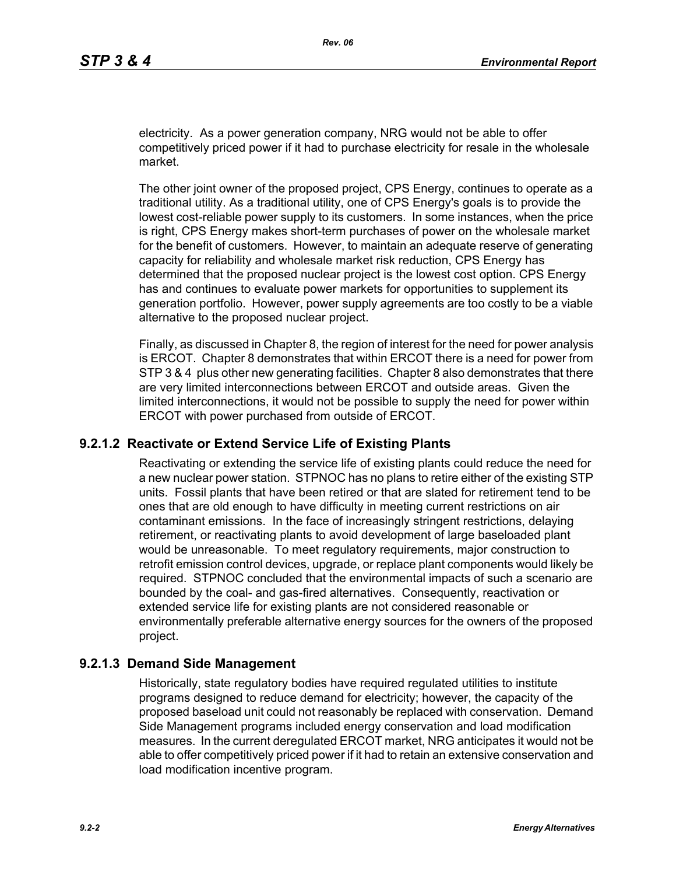electricity. As a power generation company, NRG would not be able to offer competitively priced power if it had to purchase electricity for resale in the wholesale market.

The other joint owner of the proposed project, CPS Energy, continues to operate as a traditional utility. As a traditional utility, one of CPS Energy's goals is to provide the lowest cost-reliable power supply to its customers. In some instances, when the price is right, CPS Energy makes short-term purchases of power on the wholesale market for the benefit of customers. However, to maintain an adequate reserve of generating capacity for reliability and wholesale market risk reduction, CPS Energy has determined that the proposed nuclear project is the lowest cost option. CPS Energy has and continues to evaluate power markets for opportunities to supplement its generation portfolio. However, power supply agreements are too costly to be a viable alternative to the proposed nuclear project.

Finally, as discussed in Chapter 8, the region of interest for the need for power analysis is ERCOT. Chapter 8 demonstrates that within ERCOT there is a need for power from STP 3 & 4 plus other new generating facilities. Chapter 8 also demonstrates that there are very limited interconnections between ERCOT and outside areas. Given the limited interconnections, it would not be possible to supply the need for power within ERCOT with power purchased from outside of ERCOT.

### **9.2.1.2 Reactivate or Extend Service Life of Existing Plants**

Reactivating or extending the service life of existing plants could reduce the need for a new nuclear power station. STPNOC has no plans to retire either of the existing STP units. Fossil plants that have been retired or that are slated for retirement tend to be ones that are old enough to have difficulty in meeting current restrictions on air contaminant emissions. In the face of increasingly stringent restrictions, delaying retirement, or reactivating plants to avoid development of large baseloaded plant would be unreasonable. To meet regulatory requirements, major construction to retrofit emission control devices, upgrade, or replace plant components would likely be required. STPNOC concluded that the environmental impacts of such a scenario are bounded by the coal- and gas-fired alternatives. Consequently, reactivation or extended service life for existing plants are not considered reasonable or environmentally preferable alternative energy sources for the owners of the proposed project.

## **9.2.1.3 Demand Side Management**

Historically, state regulatory bodies have required regulated utilities to institute programs designed to reduce demand for electricity; however, the capacity of the proposed baseload unit could not reasonably be replaced with conservation. Demand Side Management programs included energy conservation and load modification measures. In the current deregulated ERCOT market, NRG anticipates it would not be able to offer competitively priced power if it had to retain an extensive conservation and load modification incentive program.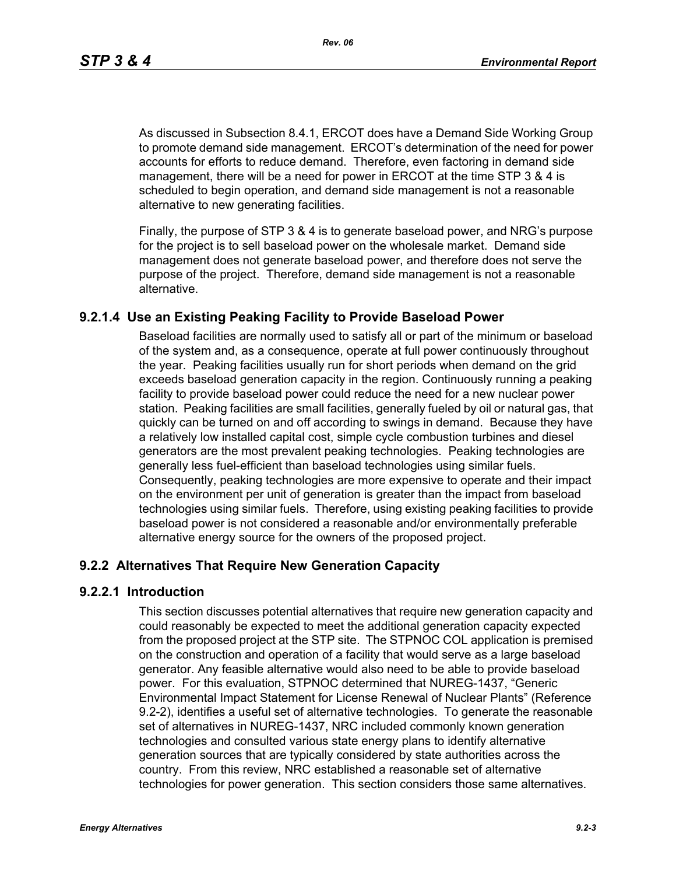*Rev. 06*

As discussed in Subsection 8.4.1, ERCOT does have a Demand Side Working Group to promote demand side management. ERCOT's determination of the need for power accounts for efforts to reduce demand. Therefore, even factoring in demand side management, there will be a need for power in ERCOT at the time STP 3 & 4 is scheduled to begin operation, and demand side management is not a reasonable alternative to new generating facilities.

[Finally, the purpose of STP 3 & 4 is to generate baseload power, and NRG's purpose](http://www.eere.energy.gov/windandhydro/windpoweringamerica/pdfs/power_supply_guidebook.pdf)  for the project is to sell baseload power on the wholesale market. Demand side management does not generate baseload power, and therefore does not serve the purpose of the project. Therefore, demand side management is not a reasonable alternative.

# **9.2.1.4 Use an Existing Peaking Facility to Provide Baseload Power**

Baseload facilities are normally used to satisfy all or part of the minimum or baseload of the system and, as a consequence, operate at full power continuously throughout the year. Peaking facilities usually run for short periods when demand on the grid exceeds baseload generation capacity in the region. Continuously running a peaking facility to provide baseload power could reduce the need for a new nuclear power station. Peaking facilities are small facilities, generally fueled by oil or natural gas, that quickly can be turned on and off according to swings in demand. Because they have a relatively low installed capital cost, simple cycle combustion turbines and diesel generators are the most prevalent peaking technologies. Peaking technologies are generally less fuel-efficient than baseload technologies using similar fuels. Consequently, peaking technologies are more expensive to operate and their impact on the environment per unit of generation is greater than the impact from baseload technologies using similar fuels. Therefore, using existing peaking facilities to provide baseload power is not considered a reasonable and/or environmentally preferable alternative energy source for the owners of the proposed project.

# **9.2.2 Alternatives That Require New Generation Capacity**

### **9.2.2.1 Introduction**

This section discusses potential alternatives that require new generation capacity and could reasonably be expected to meet the additional generation capacity expected from the proposed project at the STP site. The STPNOC COL application is premised on the construction and operation of a facility that would serve as a large baseload generator. Any feasible alternative would also need to be able to provide baseload power. For this evaluation, STPNOC determined that NUREG-1437, "Generic Environmental Impact Statement for License Renewal of Nuclear Plants" (Reference 9.2-2), identifies a useful set of alternative technologies. To generate the reasonable set of alternatives in NUREG-1437, NRC included commonly known generation technologies and consulted various state energy plans to identify alternative generation sources that are typically considered by state authorities across the country. From this review, NRC established a reasonable set of alternative technologies for power generation. This section considers those same alternatives.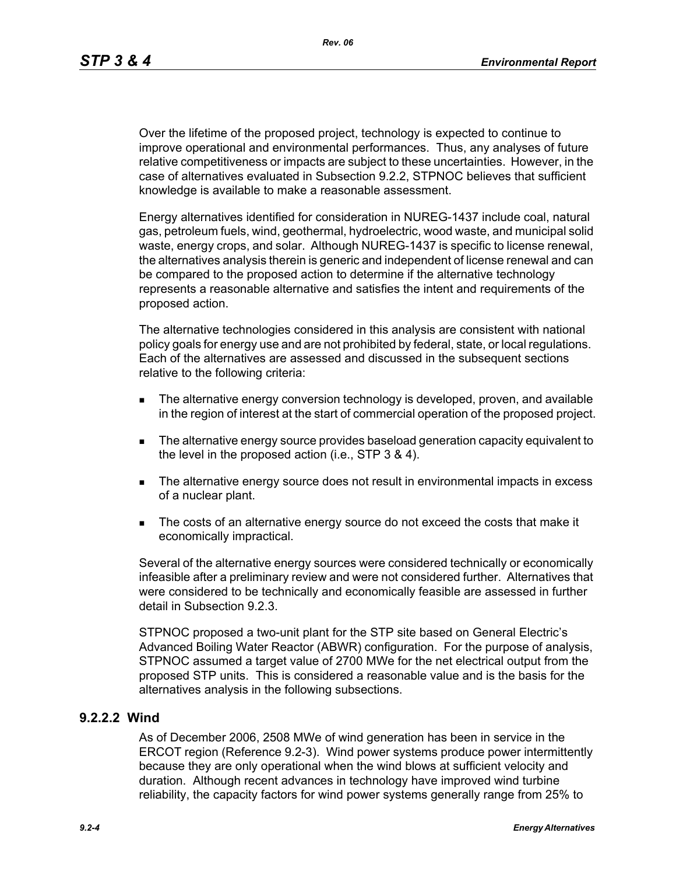*Rev. 06*

Over the lifetime of the proposed project, technology is expected to continue to improve operational and environmental performances. Thus, any analyses of future relative competitiveness or impacts are subject to these uncertainties. However, in the case of alternatives evaluated in Subsection 9.2.2, STPNOC believes that sufficient knowledge is available to make a reasonable assessment.

Energy alternatives identified for consideration in NUREG-1437 include coal, natural gas, petroleum fuels, wind, geothermal, hydroelectric, wood waste, and municipal solid waste, energy crops, and solar. Although NUREG-1437 is specific to license renewal, the alternatives analysis therein is generic and independent of license renewal and can be compared to the proposed action to determine if the alternative technology represents a reasonable alternative and satisfies the intent and requirements of the proposed action.

The alternative technologies considered in this analysis are consistent with national policy goals for energy use and are not prohibited by federal, state, or local regulations. Each of the alternatives are assessed and discussed in the subsequent sections relative to the following criteria:

- **The alternative energy conversion technology is developed, proven, and available** in the region of interest at the start of commercial operation of the proposed project.
- The alternative energy source provides baseload generation capacity equivalent to the level in the proposed action (i.e., STP 3 & 4).
- The alternative energy source does not result in environmental impacts in excess of a nuclear plant.
- The costs of an alternative energy source do not exceed the costs that make it economically impractical.

Several of the alternative energy sources were considered technically or economically infeasible after a preliminary review and were not considered further. Alternatives that were considered to be technically and economically feasible are assessed in further detail in Subsection 9.2.3.

STPNOC proposed a two-unit plant for the STP site based on General Electric's Advanced Boiling Water Reactor (ABWR) configuration. For the purpose of analysis, STPNOC assumed a target value of 2700 MWe for the net electrical output from the proposed STP units. This is considered a reasonable value and is the basis for the alternatives analysis in the following subsections.

### **9.2.2.2 Wind**

As of December 2006, 2508 MWe of wind generation has been in service in the ERCOT region (Reference 9.2-3). Wind power systems produce power intermittently because they are only operational when the wind blows at sufficient velocity and duration. Although recent advances in technology have improved wind turbine reliability, the capacity factors for wind power systems generally range from 25% to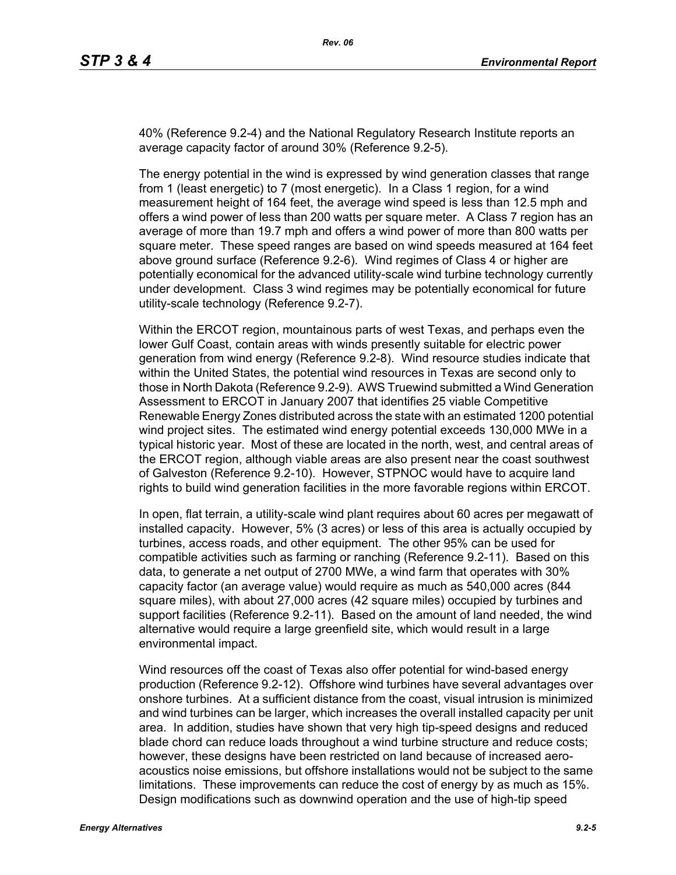40% (Reference 9.2-4) and the National Regulatory Research Institute reports an average capacity factor of around 30% (Reference 9.2-5).

The energy potential in the wind is expressed by wind generation classes that range from 1 (least energetic) to 7 (most energetic). In a Class 1 region, for a wind measurement height of 164 feet, the average wind speed is less than 12.5 mph and offers a wind power of less than 200 watts per square meter. A Class 7 region has an average of more than 19.7 mph and offers a wind power of more than 800 watts per square meter. These speed ranges are based on wind speeds measured at 164 feet above ground surface (Reference 9.2-6). Wind regimes of Class 4 or higher are potentially economical for the advanced utility-scale wind turbine technology currently under development. Class 3 wind regimes may be potentially economical for future utility-scale technology (Reference 9.2-7).

Within the ERCOT region, mountainous parts of west Texas, and perhaps even the lower Gulf Coast, contain areas with winds presently suitable for electric power generation from wind energy (Reference 9.2-8). Wind resource studies indicate that within the United States, the potential wind resources in Texas are second only to those in North Dakota (Reference 9.2-9). AWS Truewind submitted a Wind Generation Assessment to ERCOT in January 2007 that identifies 25 viable Competitive Renewable Energy Zones distributed across the state with an estimated 1200 potential wind project sites. The estimated wind energy potential exceeds 130,000 MWe in a typical historic year. Most of these are located in the north, west, and central areas of the ERCOT region, although viable areas are also present near the coast southwest of Galveston (Reference 9.2-10). However, STPNOC would have to acquire land rights to build wind generation facilities in the more favorable regions within ERCOT.

In open, flat terrain, a utility-scale wind plant requires about 60 acres per megawatt of installed capacity. However, 5% (3 acres) or less of this area is actually occupied by turbines, access roads, and other equipment. The other 95% can be used for compatible activities such as farming or ranching (Reference 9.2-11). Based on this data, to generate a net output of 2700 MWe, a wind farm that operates with 30% capacity factor (an average value) would require as much as 540,000 acres (844 square miles), with about 27,000 acres (42 square miles) occupied by turbines and support facilities (Reference 9.2-11). Based on the amount of land needed, the wind alternative would require a large greenfield site, which would result in a large environmental impact.

Wind resources off the coast of Texas also offer potential for wind-based energy production (Reference 9.2-12). Offshore wind turbines have several advantages over onshore turbines. At a sufficient distance from the coast, visual intrusion is minimized and wind turbines can be larger, which increases the overall installed capacity per unit area. In addition, studies have shown that very high tip-speed designs and reduced blade chord can reduce loads throughout a wind turbine structure and reduce costs; however, these designs have been restricted on land because of increased aeroacoustics noise emissions, but offshore installations would not be subject to the same limitations. These improvements can reduce the cost of energy by as much as 15%. Design modifications such as downwind operation and the use of high-tip speed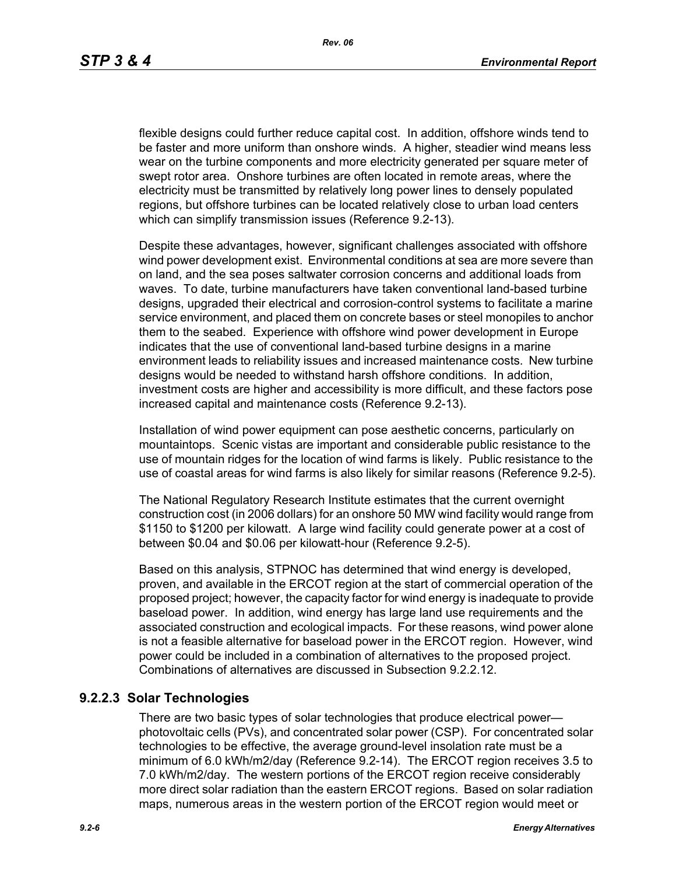flexible designs could further reduce capital cost. In addition, offshore winds tend to be faster and more uniform than onshore winds. A higher, steadier wind means less wear on the turbine components and more electricity generated per square meter of swept rotor area. Onshore turbines are often located in remote areas, where the electricity must be transmitted by relatively long power lines to densely populated regions, but offshore turbines can be located relatively close to urban load centers which can simplify transmission issues (Reference 9.2-13).

[Despite these advantages, however, significant challenges associated with offshore](http://www.nrri.ohio-state.edu/)  [wind power development exist. Environmental conditions at sea are more severe than](http://www.nrri.ohio-state.edu/)  on land, and the sea poses saltwater corrosion concerns and additional loads from waves. To date, turbine manufacturers have taken conventional land-based turbine designs, upgraded their electrical and corrosion-control systems to facilitate a marine service environment, and placed them on concrete bases or steel monopiles to anchor them to the seabed. Experience with offshore wind power development in Europe [indicates that the use of conventional land-based turbine designs in a marine](http://www.nrri.ohio-state.edu/)  [environment leads to reliability issues and increased maintenance costs. New turbine](http://www.nrri.ohio-state.edu/)  designs would be needed to withstand harsh offshore conditions. In addition, investment costs are higher and accessibility is more difficult, and these factors pose increased capital and maintenance costs (Reference 9.2-13).

Installation of wind power equipment can pose aesthetic concerns, particularly on mountaintops. Scenic vistas are important and considerable public resistance to the use of mountain ridges for the location of wind farms is likely. Public resistance to the use of coastal areas for wind farms is also likely for similar reasons (Reference 9.2-5).

The National Regulatory Research Institute estimates that the current overnight construction cost (in 2006 dollars) for an onshore 50 MW wind facility would range from \$1150 to \$1200 per kilowatt. A large wind facility could generate power at a cost of between \$0.04 and \$0.06 per kilowatt-hour (Reference 9.2-5).

Based on this analysis, STPNOC has determined that wind energy is developed, proven, and available in the ERCOT region at the start of commercial operation of the [proposed project; however, the capacity factor for wind energy is inadequate to provide](http://www.infinitepower.org/resgeothermal.htm)  baseload power. In addition, wind energy has large land use requirements and the associated construction and ecological impacts. For these reasons, wind power alone is not a feasible alternative for baseload power in the ERCOT region. However, wind power could be included in a combination of alternatives to the proposed project. Combinations of alternatives are discussed in Subsection 9.2.2.12.

# **9.2.2.3 Solar Technologies**

There are two basic types of solar technologies that produce electrical power photovoltaic cells (PVs), and concentrated solar power (CSP). For concentrated solar technologies to be effective, the average ground-level insolation rate must be a minimum of 6.0 kWh/m2/day (Reference 9.2-14). The ERCOT region receives 3.5 to 7.0 kWh/m2/day. The western portions of the ERCOT region receive considerably more direct solar radiation than the eastern ERCOT regions. Based on solar radiation maps, numerous areas in the western portion of the ERCOT region would meet or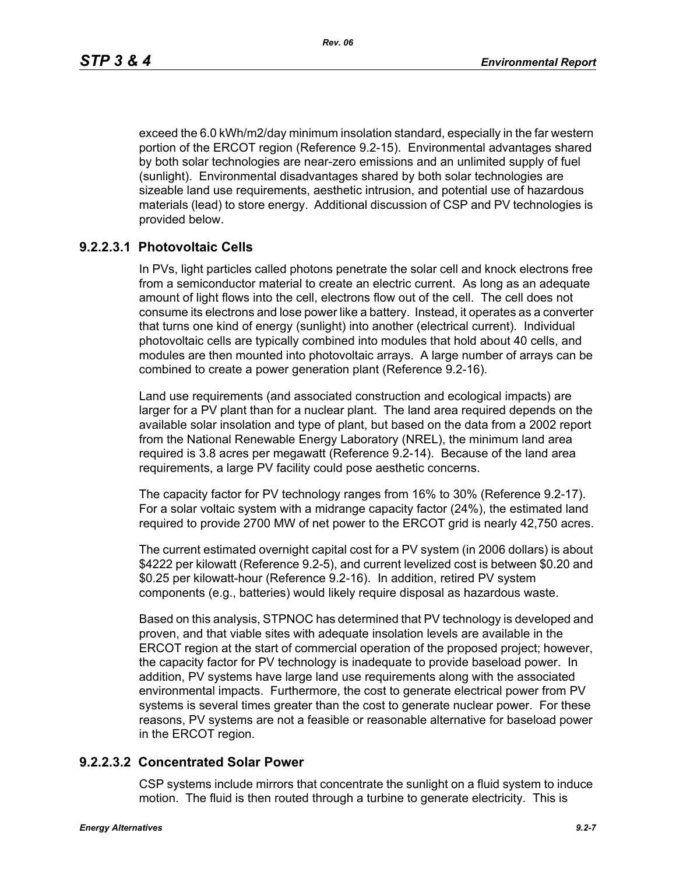exceed the 6.0 kWh/m2/day minimum insolation standard, especially in the far western portion of the ERCOT region (Reference 9.2-15). Environmental advantages shared by both solar technologies are near-zero emissions and an unlimited supply of fuel (sunlight). Environmental disadvantages shared by both solar technologies are sizeable land use requirements, aesthetic intrusion, and potential use of hazardous materials (lead) to store energy. Additional discussion of CSP and PV technologies is provided below.

# **9.2.2.3.1 Photovoltaic Cells**

In PVs, light particles called photons penetrate the solar cell and knock electrons free from a semiconductor material to create an electric current. As long as an adequate amount of light flows into the cell, electrons flow out of the cell. The cell does not consume its electrons and lose power like a battery. Instead, it operates as a converter that turns one kind of energy (sunlight) into another (electrical current). Individual photovoltaic cells are typically combined into modules that hold about 40 cells, and modules are then mounted into photovoltaic arrays. A large number of arrays can be combined to create a power generation plant (Reference 9.2-16).

Land use requirements (and associated construction and ecological impacts) are larger for a PV plant than for a nuclear plant. The land area required depends on the available solar insolation and type of plant, but based on the data from a 2002 report from the National Renewable Energy Laboratory (NREL), the minimum land area required is 3.8 acres per megawatt (Reference 9.2-14). Because of the land area requirements, a large PV facility could pose aesthetic concerns.

The capacity factor for PV technology ranges from 16% to 30% (Reference 9.2-17). For a solar voltaic system with a midrange capacity factor (24%), the estimated land required to provide 2700 MW of net power to the ERCOT grid is nearly 42,750 acres.

The current estimated overnight capital cost for a PV system (in 2006 dollars) is about \$4222 per kilowatt (Reference 9.2-5), and current levelized cost is between \$0.20 and \$0.25 per kilowatt-hour (Reference 9.2-16). In addition, retired PV system components (e.g., batteries) would likely require disposal as hazardous waste.

Based on this analysis, STPNOC has determined that PV technology is developed and proven, and that viable sites with adequate insolation levels are available in the ERCOT region at the start of commercial operation of the proposed project; however, the capacity factor for PV technology is inadequate to provide baseload power. In addition, PV systems have large land use requirements along with the associated environmental impacts. Furthermore, the cost to generate electrical power from PV systems is several times greater than the cost to generate nuclear power. For these reasons, PV systems are not a feasible or reasonable alternative for baseload power in the ERCOT region.

### **9.2.2.3.2 Concentrated Solar Power**

CSP systems include mirrors that concentrate the sunlight on a fluid system to induce motion. The fluid is then routed through a turbine to generate electricity. This is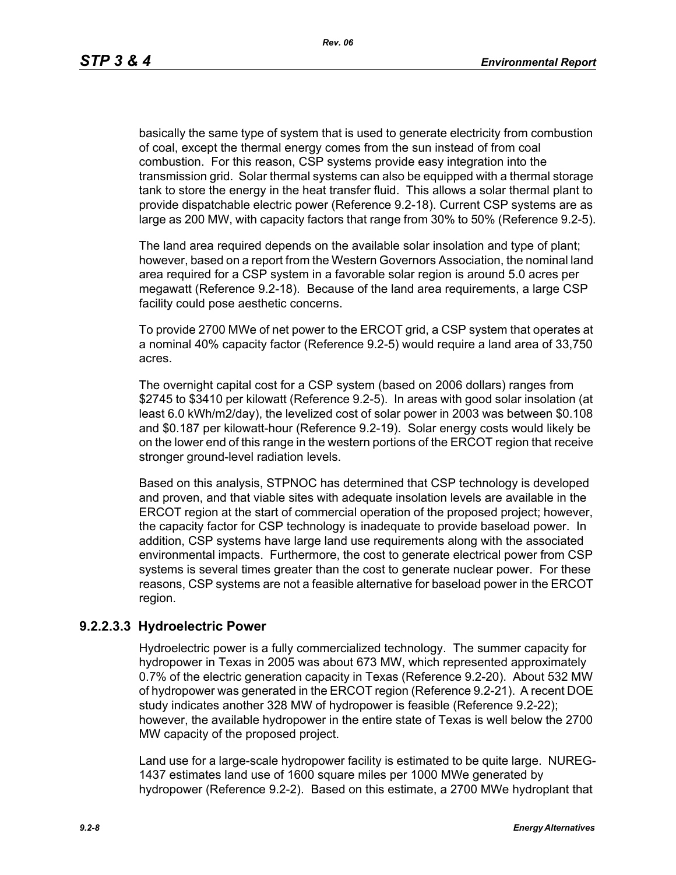basically the same type of system that is used to generate electricity from combustion of coal, except the thermal energy comes from the sun instead of from coal combustion. For this reason, CSP systems provide easy integration into the transmission grid. Solar thermal systems can also be equipped with a thermal storage tank to store the energy in the heat transfer fluid. This allows a solar thermal plant to provide dispatchable electric power (Reference 9.2-18). Current CSP systems are as large as 200 MW, with capacity factors that range from 30% to 50% (Reference 9.2-5).

The land area required depends on the available solar insolation and type of plant; however, based on a report from the Western Governors Association, the nominal land area required for a CSP system in a favorable solar region is around 5.0 acres per megawatt (Reference 9.2-18). Because of the land area requirements, a large CSP facility could pose aesthetic concerns.

To provide 2700 MWe of net power to the ERCOT grid, a CSP system that operates at a nominal 40% capacity factor (Reference 9.2-5) would require a land area of 33,750 acres.

The overnight capital cost for a CSP system (based on 2006 dollars) ranges from \$2745 to \$3410 per kilowatt (Reference 9.2-5). In areas with good solar insolation (at least 6.0 kWh/m2/day), the levelized cost of solar power in 2003 was between \$0.108 and \$0.187 per kilowatt-hour (Reference 9.2-19). Solar energy costs would likely be on the lower end of this range in the western portions of the ERCOT region that receive stronger ground-level radiation levels.

Based on this analysis, STPNOC has determined that CSP technology is developed and proven, and that viable sites with adequate insolation levels are available in the ERCOT region at the start of commercial operation of the proposed project; however, the capacity factor for CSP technology is inadequate to provide baseload power. In addition, CSP systems have large land use requirements along with the associated environmental impacts. Furthermore, the cost to generate electrical power from CSP systems is several times greater than the cost to generate nuclear power. For these reasons, CSP systems are not a feasible alternative for baseload power in the ERCOT region.

# **9.2.2.3.3 Hydroelectric Power**

Hydroelectric power is a fully commercialized technology. The summer capacity for hydropower in Texas in 2005 was about 673 MW, which represented approximately 0.7% of the electric generation capacity in Texas (Reference 9.2-20). About 532 MW of hydropower was generated in the ERCOT region (Reference 9.2-21). A recent DOE study indicates another 328 MW of hydropower is feasible (Reference 9.2-22); however, the available hydropower in the entire state of Texas is well below the 2700 MW capacity of the proposed project.

Land use for a large-scale hydropower facility is estimated to be quite large. NUREG-1437 estimates land use of 1600 square miles per 1000 MWe generated by hydropower (Reference 9.2-2). Based on this estimate, a 2700 MWe hydroplant that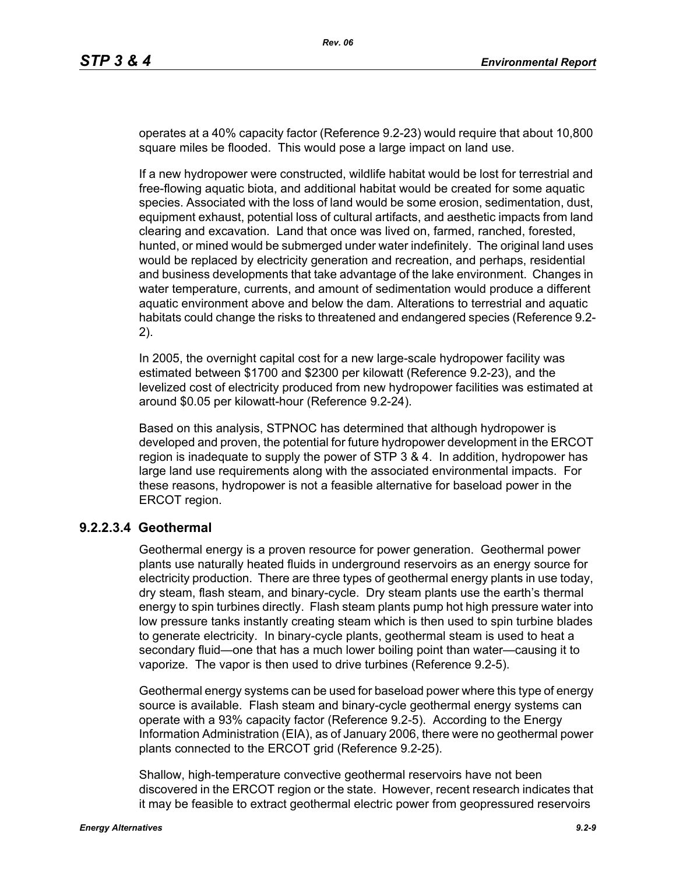operates at a 40% capacity factor (Reference 9.2-23) would require that about 10,800 square miles be flooded. This would pose a large impact on land use.

If a new hydropower were constructed, wildlife habitat would be lost for terrestrial and free-flowing aquatic biota, and additional habitat would be created for some aquatic species. Associated with the loss of land would be some erosion, sedimentation, dust, equipment exhaust, potential loss of cultural artifacts, and aesthetic impacts from land clearing and excavation. Land that once was lived on, farmed, ranched, forested, hunted, or mined would be submerged under water indefinitely. The original land uses would be replaced by electricity generation and recreation, and perhaps, residential and business developments that take advantage of the lake environment. Changes in water temperature, currents, and amount of sedimentation would produce a different aquatic environment above and below the dam. Alterations to terrestrial and aquatic habitats could change the risks to threatened and endangered species (Reference 9.2- 2).

In 2005, the overnight capital cost for a new large-scale hydropower facility was estimated between \$1700 and \$2300 per kilowatt (Reference 9.2-23), and the levelized cost of electricity produced from new hydropower facilities was estimated at around \$0.05 per kilowatt-hour (Reference 9.2-24).

Based on this analysis, STPNOC has determined that although hydropower is developed and proven, the potential for future hydropower development in the ERCOT region is inadequate to supply the power of STP 3 & 4. In addition, hydropower has large land use requirements along with the associated environmental impacts. For these reasons, hydropower is not a feasible alternative for baseload power in the ERCOT region.

### **9.2.2.3.4 Geothermal**

Geothermal energy is a proven resource for power generation. Geothermal power plants use naturally heated fluids in underground reservoirs as an energy source for electricity production. There are three types of geothermal energy plants in use today, dry steam, flash steam, and binary-cycle. Dry steam plants use the earth's thermal energy to spin turbines directly. Flash steam plants pump hot high pressure water into low pressure tanks instantly creating steam which is then used to spin turbine blades to generate electricity. In binary-cycle plants, geothermal steam is used to heat a secondary fluid—one that has a much lower boiling point than water—causing it to vaporize. The vapor is then used to drive turbines (Reference 9.2-5).

Geothermal energy systems can be used for baseload power where this type of energy source is available. Flash steam and binary-cycle geothermal energy systems can operate with a 93% capacity factor (Reference 9.2-5). According to the Energy Information Administration (EIA), as of January 2006, there were no geothermal power plants connected to the ERCOT grid (Reference 9.2-25).

Shallow, high-temperature convective geothermal reservoirs have not been discovered in the ERCOT region or the state. However, recent research indicates that it may be feasible to extract geothermal electric power from geopressured reservoirs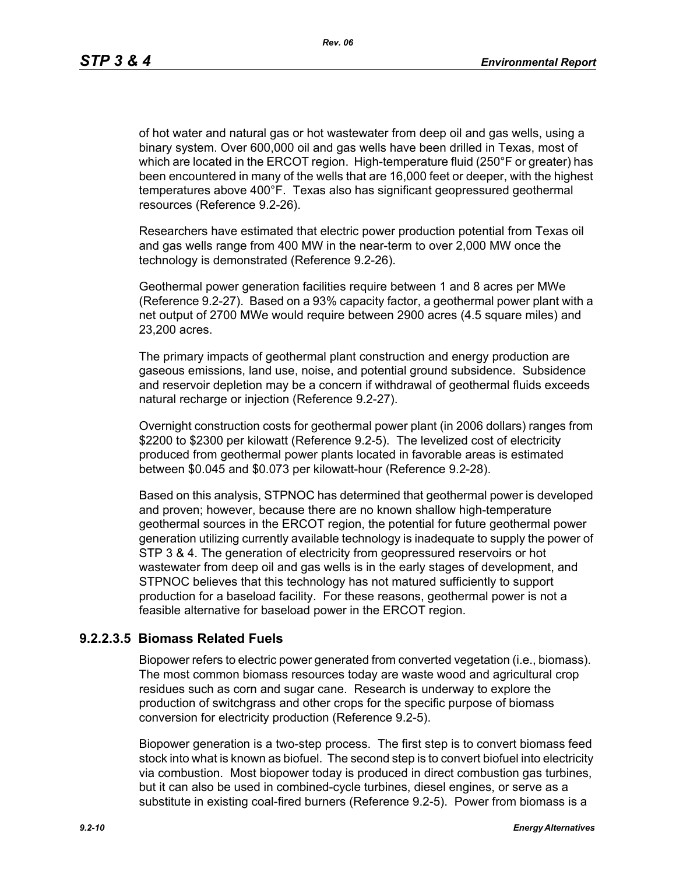*Rev. 06*

of hot water and natural gas or hot wastewater from deep oil and gas wells, using a binary system. Over 600,000 oil and gas wells have been drilled in Texas, most of which are located in the ERCOT region. High-temperature fluid (250°F or greater) has been encountered in many of the wells that are 16,000 feet or deeper, with the highest temperatures above 400°F. Texas also has significant geopressured geothermal resources (Reference 9.2-26).

Researchers have estimated that electric power production potential from Texas oil and gas wells range from 400 MW in the near-term to over 2,000 MW once the technology is demonstrated (Reference 9.2-26).

Geothermal power generation facilities require between 1 and 8 acres per MWe (Reference 9.2-27). Based on a 93% capacity factor, a geothermal power plant with a net output of 2700 MWe would require between 2900 acres (4.5 square miles) and 23,200 acres.

The primary impacts of geothermal plant construction and energy production are gaseous emissions, land use, noise, and potential ground subsidence. Subsidence and reservoir depletion may be a concern if withdrawal of geothermal fluids exceeds natural recharge or injection (Reference 9.2-27).

Overnight construction costs for geothermal power plant (in 2006 dollars) ranges from \$2200 to \$2300 per kilowatt (Reference 9.2-5). The levelized cost of electricity produced from geothermal power plants located in favorable areas is estimated between \$0.045 and \$0.073 per kilowatt-hour (Reference 9.2-28).

Based on this analysis, STPNOC has determined that geothermal power is developed and proven; however, because there are no known shallow high-temperature geothermal sources in the ERCOT region, the potential for future geothermal power generation utilizing currently available technology is inadequate to supply the power of STP 3 & 4. The generation of electricity from geopressured reservoirs or hot wastewater from deep oil and gas wells is in the early stages of development, and STPNOC believes that this technology has not matured sufficiently to support production for a baseload facility. For these reasons, geothermal power is not a feasible alternative for baseload power in the ERCOT region.

# **9.2.2.3.5 Biomass Related Fuels**

Biopower refers to electric power generated from converted vegetation (i.e., biomass). The most common biomass resources today are waste wood and agricultural crop residues such as corn and sugar cane. Research is underway to explore the production of switchgrass and other crops for the specific purpose of biomass conversion for electricity production (Reference 9.2-5).

Biopower generation is a two-step process. The first step is to convert biomass feed stock into what is known as biofuel. The second step is to convert biofuel into electricity via combustion. Most biopower today is produced in direct combustion gas turbines, but it can also be used in combined-cycle turbines, diesel engines, or serve as a substitute in existing coal-fired burners (Reference 9.2-5). Power from biomass is a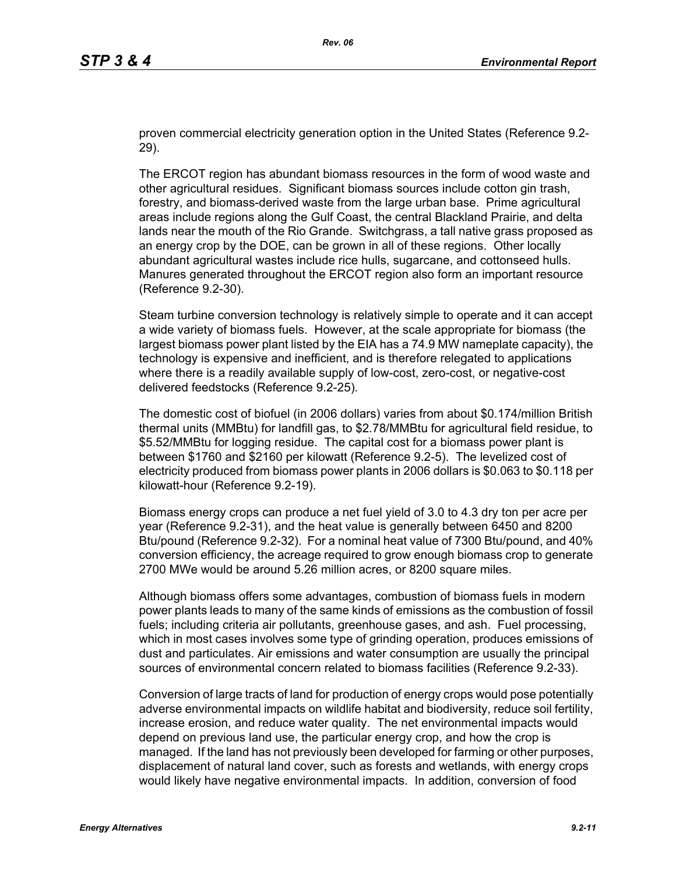proven commercial electricity generation option in the United States (Reference 9.2- 29).

The ERCOT region has abundant biomass resources in the form of wood waste and other agricultural residues. Significant biomass sources include cotton gin trash, forestry, and biomass-derived waste from the large urban base. Prime agricultural areas include regions along the Gulf Coast, the central Blackland Prairie, and delta lands near the mouth of the Rio Grande. Switchgrass, a tall native grass proposed as an energy crop by the DOE, can be grown in all of these regions. Other locally abundant agricultural wastes include rice hulls, sugarcane, and cottonseed hulls. Manures generated throughout the ERCOT region also form an important resource (Reference 9.2-30).

Steam turbine conversion technology is relatively simple to operate and it can accept a wide variety of biomass fuels. However, at the scale appropriate for biomass (the largest biomass power plant listed by the EIA has a 74.9 MW nameplate capacity), the technology is expensive and inefficient, and is therefore relegated to applications where there is a readily available supply of low-cost, zero-cost, or negative-cost delivered feedstocks (Reference 9.2-25).

The domestic cost of biofuel (in 2006 dollars) varies from about \$0.174/million British thermal units (MMBtu) for landfill gas, to \$2.78/MMBtu for agricultural field residue, to \$5.52/MMBtu for logging residue. The capital cost for a biomass power plant is between \$1760 and \$2160 per kilowatt (Reference 9.2-5). The levelized cost of electricity produced from biomass power plants in 2006 dollars is \$0.063 to \$0.118 per kilowatt-hour (Reference 9.2-19).

Biomass energy crops can produce a net fuel yield of 3.0 to 4.3 dry ton per acre per year (Reference 9.2-31), and the heat value is generally between 6450 and 8200 Btu/pound (Reference 9.2-32). For a nominal heat value of 7300 Btu/pound, and 40% conversion efficiency, the acreage required to grow enough biomass crop to generate 2700 MWe would be around 5.26 million acres, or 8200 square miles.

Although biomass offers some advantages, combustion of biomass fuels in modern power plants leads to many of the same kinds of emissions as the combustion of fossil fuels; including criteria air pollutants, greenhouse gases, and ash. Fuel processing, which in most cases involves some type of grinding operation, produces emissions of dust and particulates. Air emissions and water consumption are usually the principal sources of environmental concern related to biomass facilities (Reference 9.2-33).

Conversion of large tracts of land for production of energy crops would pose potentially adverse environmental impacts on wildlife habitat and biodiversity, reduce soil fertility, increase erosion, and reduce water quality. The net environmental impacts would depend on previous land use, the particular energy crop, and how the crop is managed. If the land has not previously been developed for farming or other purposes, displacement of natural land cover, such as forests and wetlands, with energy crops would likely have negative environmental impacts. In addition, conversion of food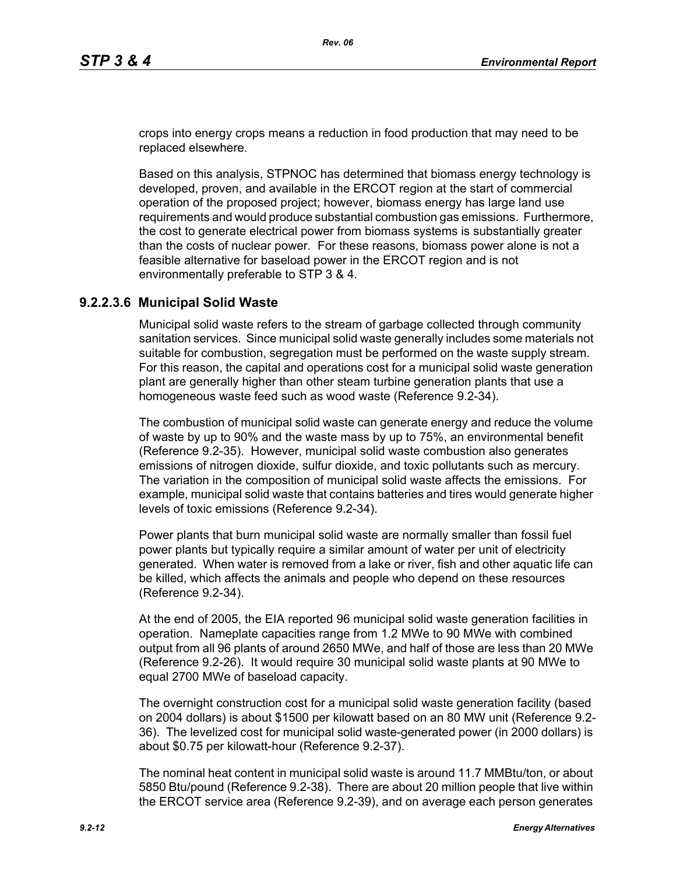crops into energy crops means a reduction in food production that may need to be replaced elsewhere.

Based on this analysis, STPNOC has determined that biomass energy technology is developed, proven, and available in the ERCOT region at the start of commercial operation of the proposed project; however, biomass energy has large land use requirements and would produce substantial combustion gas emissions. Furthermore, the cost to generate electrical power from biomass systems is substantially greater than the costs of nuclear power. For these reasons, biomass power alone is not a feasible alternative for baseload power in the ERCOT region and is not environmentally preferable to STP 3 & 4.

## **9.2.2.3.6 Municipal Solid Waste**

Municipal solid waste refers to the stream of garbage collected through community sanitation services. Since municipal solid waste generally includes some materials not suitable for combustion, segregation must be performed on the waste supply stream. For this reason, the capital and operations cost for a municipal solid waste generation plant are generally higher than other steam turbine generation plants that use a homogeneous waste feed such as wood waste (Reference 9.2-34).

The combustion of municipal solid waste can generate energy and reduce the volume of waste by up to 90% and the waste mass by up to 75%, an environmental benefit (Reference 9.2-35). However, municipal solid waste combustion also generates emissions of nitrogen dioxide, sulfur dioxide, and toxic pollutants such as mercury. The variation in the composition of municipal solid waste affects the emissions. For example, municipal solid waste that contains batteries and tires would generate higher levels of toxic emissions (Reference 9.2-34).

Power plants that burn municipal solid waste are normally smaller than fossil fuel power plants but typically require a similar amount of water per unit of electricity generated. When water is removed from a lake or river, fish and other aquatic life can be killed, which affects the animals and people who depend on these resources (Reference 9.2-34).

At the end of 2005, the EIA reported 96 municipal solid waste generation facilities in operation. Nameplate capacities range from 1.2 MWe to 90 MWe with combined output from all 96 plants of around 2650 MWe, and half of those are less than 20 MWe (Reference 9.2-26). It would require 30 municipal solid waste plants at 90 MWe to equal 2700 MWe of baseload capacity.

The overnight construction cost for a municipal solid waste generation facility (based on 2004 dollars) is about \$1500 per kilowatt based on an 80 MW unit (Reference 9.2- 36). The levelized cost for municipal solid waste-generated power (in 2000 dollars) is about \$0.75 per kilowatt-hour (Reference 9.2-37).

The nominal heat content in municipal solid waste is around 11.7 MMBtu/ton, or about 5850 Btu/pound (Reference 9.2-38). There are about 20 million people that live within the ERCOT service area (Reference 9.2-39), and on average each person generates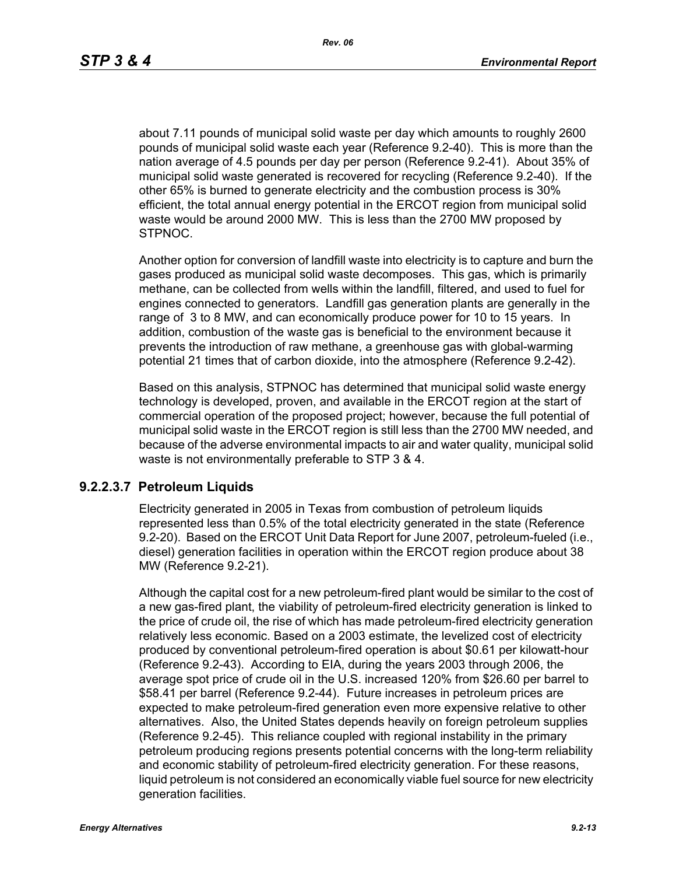about 7.11 pounds of municipal solid waste per day which amounts to roughly 2600 pounds of municipal solid waste each year (Reference 9.2-40). This is more than the nation average of 4.5 pounds per day per person (Reference 9.2-41). About 35% of municipal solid waste generated is recovered for recycling (Reference 9.2-40). If the other 65% is burned to generate electricity and the combustion process is 30% efficient, the total annual energy potential in the ERCOT region from municipal solid waste would be around 2000 MW. This is less than the 2700 MW proposed by STPNOC.

Another option for conversion of landfill waste into electricity is to capture and burn the gases produced as municipal solid waste decomposes. This gas, which is primarily methane, can be collected from wells within the landfill, filtered, and used to fuel for engines connected to generators. Landfill gas generation plants are generally in the range of 3 to 8 MW, and can economically produce power for 10 to 15 years. In addition, combustion of the waste gas is beneficial to the environment because it prevents the introduction of raw methane, a greenhouse gas with global-warming potential 21 times that of carbon dioxide, into the atmosphere (Reference 9.2-42).

Based on this analysis, STPNOC has determined that municipal solid waste energy technology is developed, proven, and available in the ERCOT region at the start of commercial operation of the proposed project; however, because the full potential of municipal solid waste in the ERCOT region is still less than the 2700 MW needed, and because of the adverse environmental impacts to air and water quality, municipal solid waste is not environmentally preferable to STP 3 & 4.

#### **9.2.2.3.7 Petroleum Liquids**

Electricity generated in 2005 in Texas from combustion of petroleum liquids represented less than 0.5% of the total electricity generated in the state (Reference 9.2-20). Based on the ERCOT Unit Data Report for June 2007, petroleum-fueled (i.e., diesel) generation facilities in operation within the ERCOT region produce about 38 MW (Reference 9.2-21).

Although the capital cost for a new petroleum-fired plant would be similar to the cost of a new gas-fired plant, the viability of petroleum-fired electricity generation is linked to the price of crude oil, the rise of which has made petroleum-fired electricity generation relatively less economic. Based on a 2003 estimate, the levelized cost of electricity produced by conventional petroleum-fired operation is about \$0.61 per kilowatt-hour (Reference 9.2-43). According to EIA, during the years 2003 through 2006, the average spot price of crude oil in the U.S. increased 120% from \$26.60 per barrel to \$58.41 per barrel (Reference 9.2-44). Future increases in petroleum prices are expected to make petroleum-fired generation even more expensive relative to other alternatives. Also, the United States depends heavily on foreign petroleum supplies (Reference 9.2-45). This reliance coupled with regional instability in the primary petroleum producing regions presents potential concerns with the long-term reliability and economic stability of petroleum-fired electricity generation. For these reasons, liquid petroleum is not considered an economically viable fuel source for new electricity generation facilities.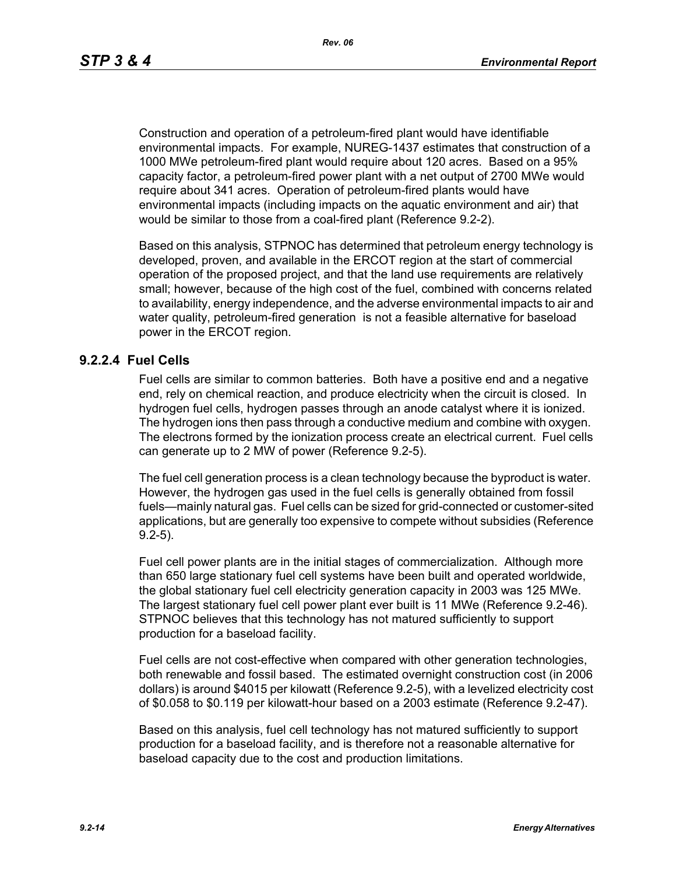Construction and operation of a petroleum-fired plant would have identifiable environmental impacts. For example, NUREG-1437 estimates that construction of a 1000 MWe petroleum-fired plant would require about 120 acres. Based on a 95% capacity factor, a petroleum-fired power plant with a net output of 2700 MWe would require about 341 acres. Operation of petroleum-fired plants would have environmental impacts (including impacts on the aquatic environment and air) that would be similar to those from a coal-fired plant (Reference 9.2-2).

Based on this analysis, STPNOC has determined that petroleum energy technology is developed, proven, and available in the ERCOT region at the start of commercial operation of the proposed project, and that the land use requirements are relatively small; however, because of the high cost of the fuel, combined with concerns related to availability, energy independence, and the adverse environmental impacts to air and water quality, petroleum-fired generation is not a feasible alternative for baseload power in the ERCOT region.

#### **9.2.2.4 Fuel Cells**

Fuel cells are similar to common batteries. Both have a positive end and a negative end, rely on chemical reaction, and produce electricity when the circuit is closed. In hydrogen fuel cells, hydrogen passes through an anode catalyst where it is ionized. The hydrogen ions then pass through a conductive medium and combine with oxygen. The electrons formed by the ionization process create an electrical current. Fuel cells can generate up to 2 MW of power (Reference 9.2-5).

The fuel cell generation process is a clean technology because the byproduct is water. However, the hydrogen gas used in the fuel cells is generally obtained from fossil fuels—mainly natural gas. Fuel cells can be sized for grid-connected or customer-sited applications, but are generally too expensive to compete without subsidies (Reference 9.2-5).

Fuel cell power plants are in the initial stages of commercialization. Although more than 650 large stationary fuel cell systems have been built and operated worldwide, the global stationary fuel cell electricity generation capacity in 2003 was 125 MWe. The largest stationary fuel cell power plant ever built is 11 MWe (Reference 9.2-46). STPNOC believes that this technology has not matured sufficiently to support production for a baseload facility.

Fuel cells are not cost-effective when compared with other generation technologies, both renewable and fossil based. The estimated overnight construction cost (in 2006 dollars) is around \$4015 per kilowatt (Reference 9.2-5), with a levelized electricity cost of \$0.058 to \$0.119 per kilowatt-hour based on a 2003 estimate (Reference 9.2-47).

Based on this analysis, fuel cell technology has not matured sufficiently to support production for a baseload facility, and is therefore not a reasonable alternative for baseload capacity due to the cost and production limitations.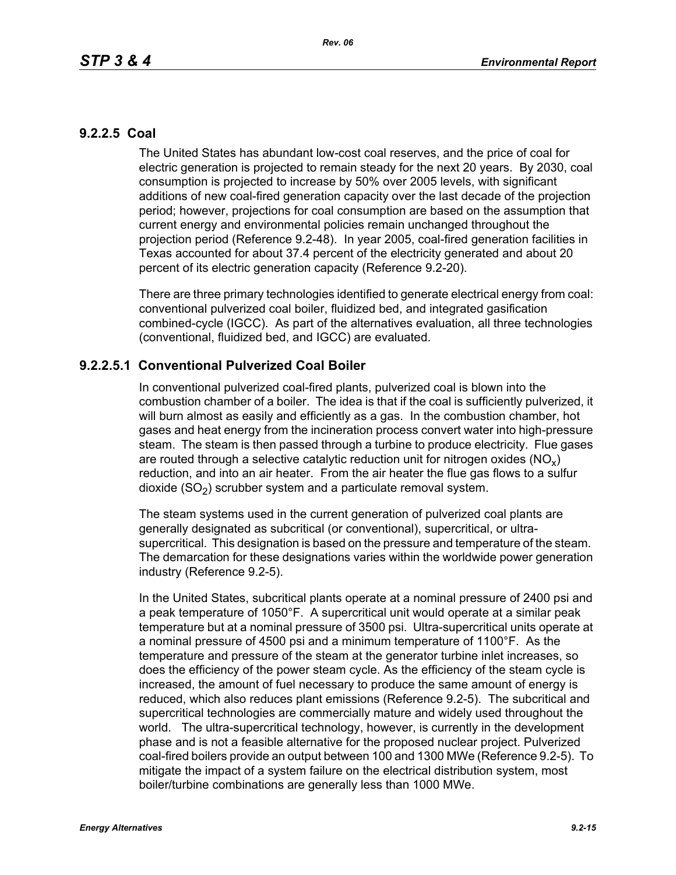# **9.2.2.5 Coal**

The United States has abundant low-cost coal reserves, and the price of coal for electric generation is projected to remain steady for the next 20 years. By 2030, coal consumption is projected to increase by 50% over 2005 levels, with significant additions of new coal-fired generation capacity over the last decade of the projection period; however, projections for coal consumption are based on the assumption that current energy and environmental policies remain unchanged throughout the projection period (Reference 9.2-48). In year 2005, coal-fired generation facilities in Texas accounted for about 37.4 percent of the electricity generated and about 20 percent of its electric generation capacity (Reference 9.2-20).

There are three primary technologies identified to generate electrical energy from coal: conventional pulverized coal boiler, fluidized bed, and integrated gasification combined-cycle (IGCC). As part of the alternatives evaluation, all three technologies (conventional, fluidized bed, and IGCC) are evaluated.

# **9.2.2.5.1 Conventional Pulverized Coal Boiler**

In conventional pulverized coal-fired plants, pulverized coal is blown into the combustion chamber of a boiler. The idea is that if the coal is sufficiently pulverized, it will burn almost as easily and efficiently as a gas. In the combustion chamber, hot gases and heat energy from the incineration process convert water into high-pressure steam. The steam is then passed through a turbine to produce electricity. Flue gases are routed through a selective catalytic reduction unit for nitrogen oxides ( $NO<sub>v</sub>$ ) reduction, and into an air heater. From the air heater the flue gas flows to a sulfur dioxide  $(SO<sub>2</sub>)$  scrubber system and a particulate removal system.

The steam systems used in the current generation of pulverized coal plants are generally designated as subcritical (or conventional), supercritical, or ultrasupercritical. This designation is based on the pressure and temperature of the steam. The demarcation for these designations varies within the worldwide power generation industry (Reference 9.2-5).

In the United States, subcritical plants operate at a nominal pressure of 2400 psi and a peak temperature of 1050°F. A supercritical unit would operate at a similar peak temperature but at a nominal pressure of 3500 psi. Ultra-supercritical units operate at a nominal pressure of 4500 psi and a minimum temperature of 1100°F. As the temperature and pressure of the steam at the generator turbine inlet increases, so does the efficiency of the power steam cycle. As the efficiency of the steam cycle is increased, the amount of fuel necessary to produce the same amount of energy is reduced, which also reduces plant emissions (Reference 9.2-5). The subcritical and supercritical technologies are commercially mature and widely used throughout the world. The ultra-supercritical technology, however, is currently in the development phase and is not a feasible alternative for the proposed nuclear project. Pulverized coal-fired boilers provide an output between 100 and 1300 MWe (Reference 9.2-5). To mitigate the impact of a system failure on the electrical distribution system, most boiler/turbine combinations are generally less than 1000 MWe.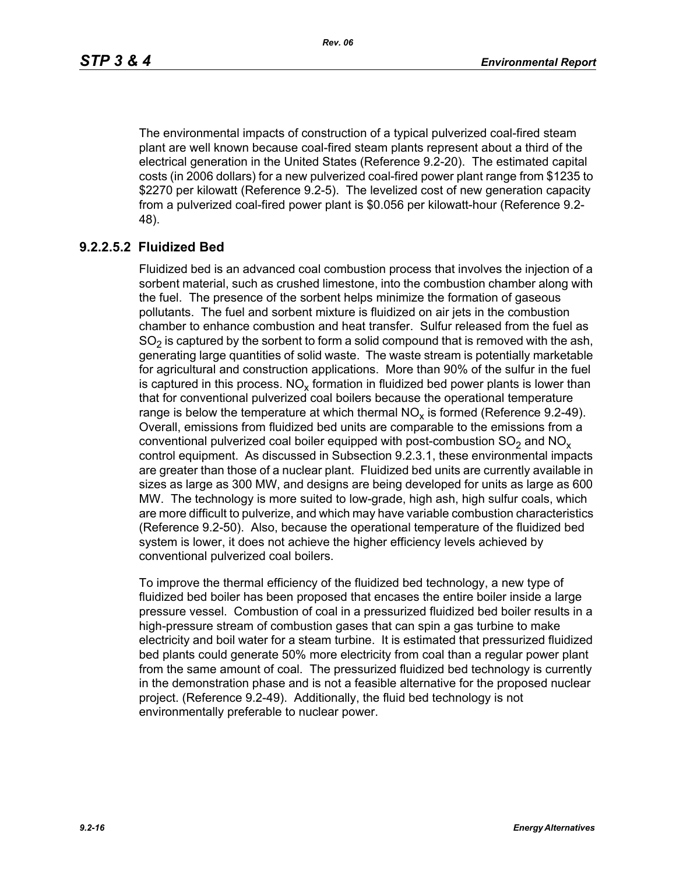The environmental impacts of construction of a typical pulverized coal-fired steam plant are well known because coal-fired steam plants represent about a third of the electrical generation in the United States (Reference 9.2-20). The estimated capital costs (in 2006 dollars) for a new pulverized coal-fired power plant range from \$1235 to \$2270 per kilowatt (Reference 9.2-5). The levelized cost of new generation capacity from a pulverized coal-fired power plant is \$0.056 per kilowatt-hour (Reference 9.2- 48).

# **9.2.2.5.2 Fluidized Bed**

Fluidized bed is an advanced coal combustion process that involves the injection of a sorbent material, such as crushed limestone, into the combustion chamber along with the fuel. The presence of the sorbent helps minimize the formation of gaseous pollutants. The fuel and sorbent mixture is fluidized on air jets in the combustion chamber to enhance combustion and heat transfer. Sulfur released from the fuel as  $SO<sub>2</sub>$  is captured by the sorbent to form a solid compound that is removed with the ash, generating large quantities of solid waste. The waste stream is potentially marketable for agricultural and construction applications. More than 90% of the sulfur in the fuel is captured in this process.  $NO_{v}$  formation in fluidized bed power plants is lower than that for conventional pulverized coal boilers because the operational temperature range is below the temperature at which thermal  $NO<sub>x</sub>$  is formed (Reference 9.2-49). Overall, emissions from fluidized bed units are comparable to the emissions from a conventional pulverized coal boiler equipped with post-combustion  $SO<sub>2</sub>$  and  $NO<sub>x</sub>$ control equipment. As discussed in Subsection 9.2.3.1, these environmental impacts are greater than those of a nuclear plant. Fluidized bed units are currently available in sizes as large as 300 MW, and designs are being developed for units as large as 600 MW. The technology is more suited to low-grade, high ash, high sulfur coals, which are more difficult to pulverize, and which may have variable combustion characteristics (Reference 9.2-50). Also, because the operational temperature of the fluidized bed system is lower, it does not achieve the higher efficiency levels achieved by conventional pulverized coal boilers.

To improve the thermal efficiency of the fluidized bed technology, a new type of fluidized bed boiler has been proposed that encases the entire boiler inside a large pressure vessel. Combustion of coal in a pressurized fluidized bed boiler results in a high-pressure stream of combustion gases that can spin a gas turbine to make electricity and boil water for a steam turbine. It is estimated that pressurized fluidized bed plants could generate 50% more electricity from coal than a regular power plant from the same amount of coal. The pressurized fluidized bed technology is currently in the demonstration phase and is not a feasible alternative for the proposed nuclear project. (Reference 9.2-49). Additionally, the fluid bed technology is not environmentally preferable to nuclear power.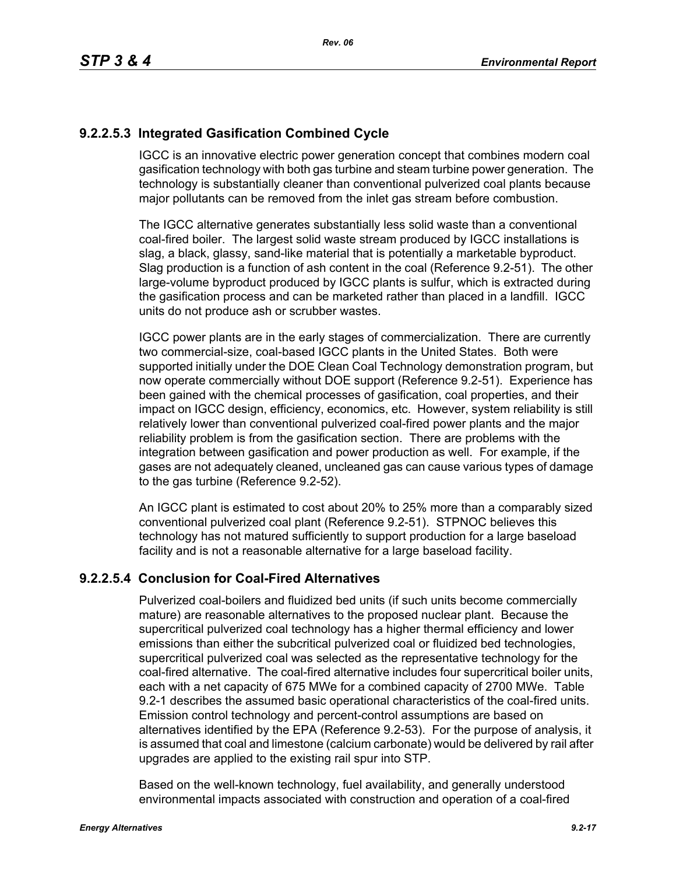# **9.2.2.5.3 Integrated Gasification Combined Cycle**

IGCC is an innovative electric power generation concept that combines modern coal gasification technology with both gas turbine and steam turbine power generation. The technology is substantially cleaner than conventional pulverized coal plants because major pollutants can be removed from the inlet gas stream before combustion.

The IGCC alternative generates substantially less solid waste than a conventional coal-fired boiler. The largest solid waste stream produced by IGCC installations is slag, a black, glassy, sand-like material that is potentially a marketable byproduct. Slag production is a function of ash content in the coal (Reference 9.2-51). The other large-volume byproduct produced by IGCC plants is sulfur, which is extracted during the gasification process and can be marketed rather than placed in a landfill. IGCC units do not produce ash or scrubber wastes.

IGCC power plants are in the early stages of commercialization. There are currently two commercial-size, coal-based IGCC plants in the United States. Both were supported initially under the DOE Clean Coal Technology demonstration program, but now operate commercially without DOE support (Reference 9.2-51). Experience has been gained with the chemical processes of gasification, coal properties, and their impact on IGCC design, efficiency, economics, etc. However, system reliability is still relatively lower than conventional pulverized coal-fired power plants and the major reliability problem is from the gasification section. There are problems with the integration between gasification and power production as well. For example, if the gases are not adequately cleaned, uncleaned gas can cause various types of damage to the gas turbine (Reference 9.2-52).

An IGCC plant is estimated to cost about 20% to 25% more than a comparably sized conventional pulverized coal plant (Reference 9.2-51). STPNOC believes this technology has not matured sufficiently to support production for a large baseload facility and is not a reasonable alternative for a large baseload facility.

# **9.2.2.5.4 Conclusion for Coal-Fired Alternatives**

Pulverized coal-boilers and fluidized bed units (if such units become commercially mature) are reasonable alternatives to the proposed nuclear plant. Because the supercritical pulverized coal technology has a higher thermal efficiency and lower emissions than either the subcritical pulverized coal or fluidized bed technologies, supercritical pulverized coal was selected as the representative technology for the coal-fired alternative. The coal-fired alternative includes four supercritical boiler units, each with a net capacity of 675 MWe for a combined capacity of 2700 MWe. Table 9.2-1 describes the assumed basic operational characteristics of the coal-fired units. Emission control technology and percent-control assumptions are based on alternatives identified by the EPA (Reference 9.2-53). For the purpose of analysis, it is assumed that coal and limestone (calcium carbonate) would be delivered by rail after upgrades are applied to the existing rail spur into STP.

Based on the well-known technology, fuel availability, and generally understood environmental impacts associated with construction and operation of a coal-fired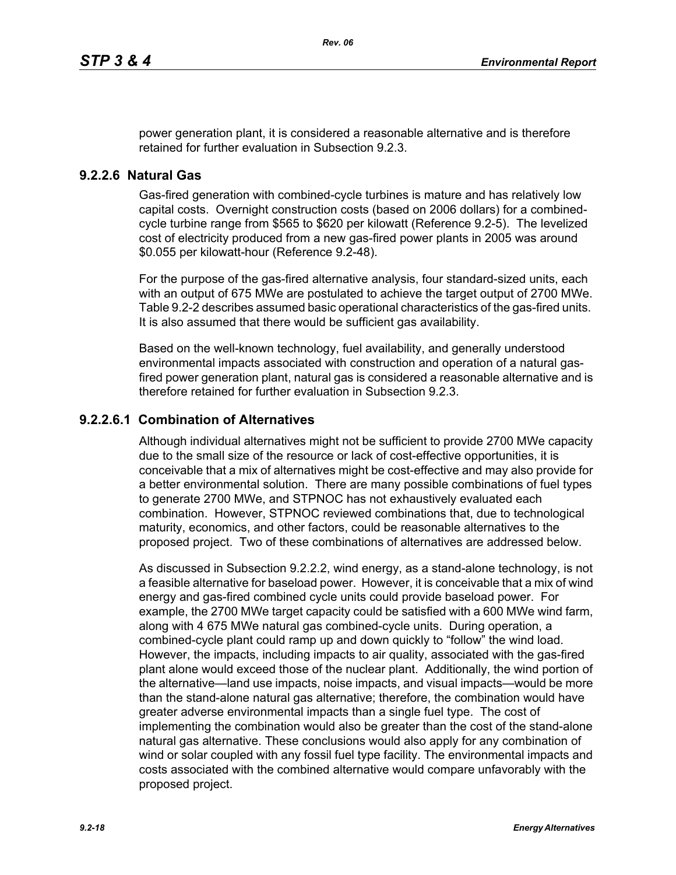power generation plant, it is considered a reasonable alternative and is therefore retained for further evaluation in Subsection 9.2.3.

#### **9.2.2.6 Natural Gas**

Gas-fired generation with combined-cycle turbines is mature and has relatively low capital costs. Overnight construction costs (based on 2006 dollars) for a combinedcycle turbine range from \$565 to \$620 per kilowatt (Reference 9.2-5). The levelized cost of electricity produced from a new gas-fired power plants in 2005 was around \$0.055 per kilowatt-hour (Reference 9.2-48).

For the purpose of the gas-fired alternative analysis, four standard-sized units, each with an output of 675 MWe are postulated to achieve the target output of 2700 MWe. Table 9.2-2 describes assumed basic operational characteristics of the gas-fired units. It is also assumed that there would be sufficient gas availability.

Based on the well-known technology, fuel availability, and generally understood environmental impacts associated with construction and operation of a natural gasfired power generation plant, natural gas is considered a reasonable alternative and is therefore retained for further evaluation in Subsection 9.2.3.

## **9.2.2.6.1 Combination of Alternatives**

Although individual alternatives might not be sufficient to provide 2700 MWe capacity due to the small size of the resource or lack of cost-effective opportunities, it is conceivable that a mix of alternatives might be cost-effective and may also provide for a better environmental solution. There are many possible combinations of fuel types to generate 2700 MWe, and STPNOC has not exhaustively evaluated each combination. However, STPNOC reviewed combinations that, due to technological maturity, economics, and other factors, could be reasonable alternatives to the proposed project. Two of these combinations of alternatives are addressed below.

As discussed in Subsection 9.2.2.2, wind energy, as a stand-alone technology, is not a feasible alternative for baseload power. However, it is conceivable that a mix of wind energy and gas-fired combined cycle units could provide baseload power. For example, the 2700 MWe target capacity could be satisfied with a 600 MWe wind farm, along with 4 675 MWe natural gas combined-cycle units. During operation, a combined-cycle plant could ramp up and down quickly to "follow" the wind load. However, the impacts, including impacts to air quality, associated with the gas-fired plant alone would exceed those of the nuclear plant. Additionally, the wind portion of the alternative—land use impacts, noise impacts, and visual impacts—would be more than the stand-alone natural gas alternative; therefore, the combination would have greater adverse environmental impacts than a single fuel type. The cost of implementing the combination would also be greater than the cost of the stand-alone natural gas alternative. These conclusions would also apply for any combination of wind or solar coupled with any fossil fuel type facility. The environmental impacts and costs associated with the combined alternative would compare unfavorably with the proposed project.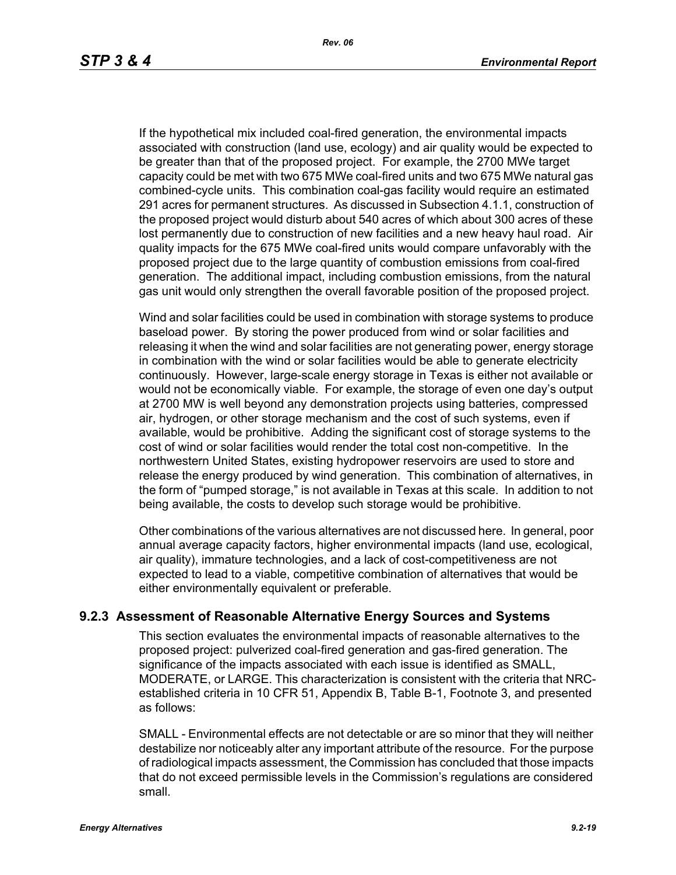If the hypothetical mix included coal-fired generation, the environmental impacts associated with construction (land use, ecology) and air quality would be expected to be greater than that of the proposed project. For example, the 2700 MWe target capacity could be met with two 675 MWe coal-fired units and two 675 MWe natural gas combined-cycle units. This combination coal-gas facility would require an estimated 291 acres for permanent structures. As discussed in Subsection 4.1.1, construction of the proposed project would disturb about 540 acres of which about 300 acres of these lost permanently due to construction of new facilities and a new heavy haul road. Air quality impacts for the 675 MWe coal-fired units would compare unfavorably with the proposed project due to the large quantity of combustion emissions from coal-fired generation. The additional impact, including combustion emissions, from the natural gas unit would only strengthen the overall favorable position of the proposed project.

Wind and solar facilities could be used in combination with storage systems to produce baseload power. By storing the power produced from wind or solar facilities and releasing it when the wind and solar facilities are not generating power, energy storage in combination with the wind or solar facilities would be able to generate electricity continuously. However, large-scale energy storage in Texas is either not available or would not be economically viable. For example, the storage of even one day's output at 2700 MW is well beyond any demonstration projects using batteries, compressed air, hydrogen, or other storage mechanism and the cost of such systems, even if available, would be prohibitive. Adding the significant cost of storage systems to the cost of wind or solar facilities would render the total cost non-competitive. In the northwestern United States, existing hydropower reservoirs are used to store and release the energy produced by wind generation. This combination of alternatives, in the form of "pumped storage," is not available in Texas at this scale. In addition to not being available, the costs to develop such storage would be prohibitive.

Other combinations of the various alternatives are not discussed here. In general, poor annual average capacity factors, higher environmental impacts (land use, ecological, air quality), immature technologies, and a lack of cost-competitiveness are not expected to lead to a viable, competitive combination of alternatives that would be either environmentally equivalent or preferable.

### **9.2.3 Assessment of Reasonable Alternative Energy Sources and Systems**

This section evaluates the environmental impacts of reasonable alternatives to the proposed project: pulverized coal-fired generation and gas-fired generation. The significance of the impacts associated with each issue is identified as SMALL, MODERATE, or LARGE. This characterization is consistent with the criteria that NRCestablished criteria in 10 CFR 51, Appendix B, Table B-1, Footnote 3, and presented as follows:

SMALL - Environmental effects are not detectable or are so minor that they will neither destabilize nor noticeably alter any important attribute of the resource. For the purpose of radiological impacts assessment, the Commission has concluded that those impacts that do not exceed permissible levels in the Commission's regulations are considered small.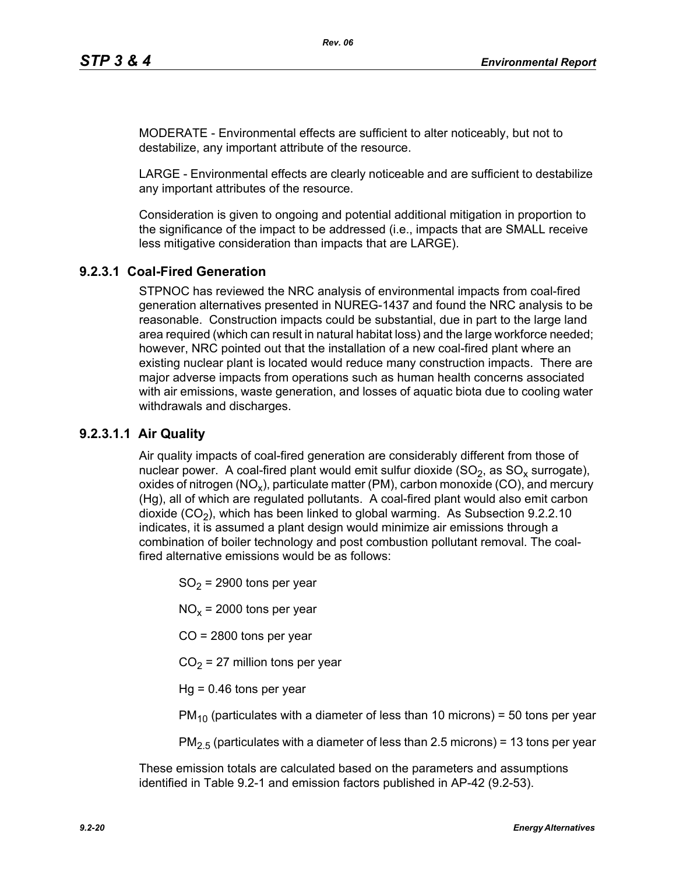MODERATE - Environmental effects are sufficient to alter noticeably, but not to destabilize, any important attribute of the resource.

LARGE - Environmental effects are clearly noticeable and are sufficient to destabilize any important attributes of the resource.

Consideration is given to ongoing and potential additional mitigation in proportion to the significance of the impact to be addressed (i.e., impacts that are SMALL receive less mitigative consideration than impacts that are LARGE).

# **9.2.3.1 Coal-Fired Generation**

STPNOC has reviewed the NRC analysis of environmental impacts from coal-fired generation alternatives presented in NUREG-1437 and found the NRC analysis to be reasonable. Construction impacts could be substantial, due in part to the large land area required (which can result in natural habitat loss) and the large workforce needed; however, NRC pointed out that the installation of a new coal-fired plant where an existing nuclear plant is located would reduce many construction impacts. There are major adverse impacts from operations such as human health concerns associated with air emissions, waste generation, and losses of aquatic biota due to cooling water withdrawals and discharges.

# **9.2.3.1.1 Air Quality**

Air quality impacts of coal-fired generation are considerably different from those of nuclear power. A coal-fired plant would emit sulfur dioxide  $(SO<sub>2</sub>)$ , as  $SO<sub>x</sub>$  surrogate), oxides of nitrogen (NO<sub>x</sub>), particulate matter (PM), carbon monoxide (CO), and mercury (Hg), all of which are regulated pollutants. A coal-fired plant would also emit carbon dioxide  $(CO<sub>2</sub>)$ , which has been linked to global warming. As Subsection 9.2.2.10 indicates, it is assumed a plant design would minimize air emissions through a combination of boiler technology and post combustion pollutant removal. The coalfired alternative emissions would be as follows:

 $SO<sub>2</sub>$  = 2900 tons per year

 $NO<sub>x</sub>$  = 2000 tons per year

CO = 2800 tons per year

 $CO<sub>2</sub> = 27$  million tons per year

 $Hq = 0.46$  tons per year

 $PM_{10}$  (particulates with a diameter of less than 10 microns) = 50 tons per year

 $PM<sub>2.5</sub>$  (particulates with a diameter of less than 2.5 microns) = 13 tons per year

These emission totals are calculated based on the parameters and assumptions identified in Table 9.2-1 and emission factors published in AP-42 (9.2-53).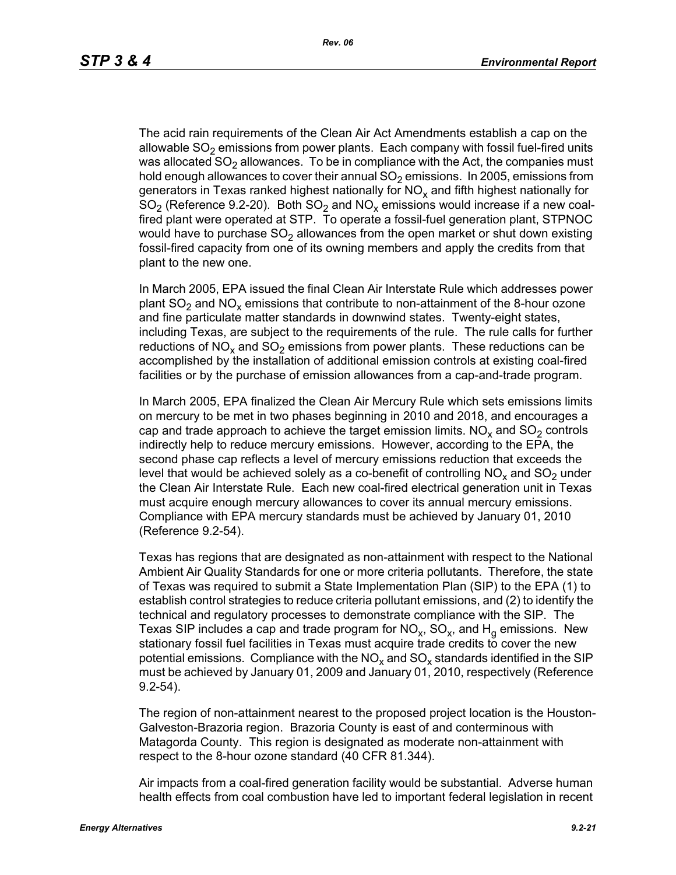The acid rain requirements of the Clean Air Act Amendments establish a cap on the allowable  $SO<sub>2</sub>$  emissions from power plants. Each company with fossil fuel-fired units was allocated  $SO<sub>2</sub>$  allowances. To be in compliance with the Act, the companies must hold enough allowances to cover their annual  $SO<sub>2</sub>$  emissions. In 2005, emissions from generators in Texas ranked highest nationally for  $NO<sub>x</sub>$  and fifth highest nationally for  $SO<sub>2</sub>$  (Reference 9.2-20). Both  $SO<sub>2</sub>$  and  $NO<sub>x</sub>$  emissions would increase if a new coalfired plant were operated at STP. To operate a fossil-fuel generation plant, STPNOC would have to purchase  $SO<sub>2</sub>$  allowances from the open market or shut down existing fossil-fired capacity from one of its owning members and apply the credits from that plant to the new one.

In March 2005, EPA issued the final Clean Air Interstate Rule which addresses power plant  $SO_2$  and  $NO_x$  emissions that contribute to non-attainment of the 8-hour ozone and fine particulate matter standards in downwind states. Twenty-eight states, including Texas, are subject to the requirements of the rule. The rule calls for further reductions of NO<sub>x</sub> and SO<sub>2</sub> emissions from power plants. These reductions can be accomplished by the installation of additional emission controls at existing coal-fired facilities or by the purchase of emission allowances from a cap-and-trade program.

In March 2005, EPA finalized the Clean Air Mercury Rule which sets emissions limits on mercury to be met in two phases beginning in 2010 and 2018, and encourages a cap and trade approach to achieve the target emission limits.  $NO<sub>x</sub>$  and  $SO<sub>2</sub>$  controls indirectly help to reduce mercury emissions. However, according to the EPA, the second phase cap reflects a level of mercury emissions reduction that exceeds the level that would be achieved solely as a co-benefit of controlling  $NO<sub>x</sub>$  and  $SO<sub>2</sub>$  under the Clean Air Interstate Rule. Each new coal-fired electrical generation unit in Texas must acquire enough mercury allowances to cover its annual mercury emissions. Compliance with EPA mercury standards must be achieved by January 01, 2010 (Reference 9.2-54).

Texas has regions that are designated as non-attainment with respect to the National Ambient Air Quality Standards for one or more criteria pollutants. Therefore, the state of Texas was required to submit a State Implementation Plan (SIP) to the EPA (1) to establish control strategies to reduce criteria pollutant emissions, and (2) to identify the technical and regulatory processes to demonstrate compliance with the SIP. The Texas SIP includes a cap and trade program for  $NO<sub>x</sub>$ ,  $SO<sub>x</sub>$ , and  $H<sub>q</sub>$  emissions. New stationary fossil fuel facilities in Texas must acquire trade credits to cover the new potential emissions. Compliance with the  $NO<sub>x</sub>$  and  $SO<sub>x</sub>$  standards identified in the SIP must be achieved by January 01, 2009 and January 01, 2010, respectively (Reference 9.2-54).

The region of non-attainment nearest to the proposed project location is the Houston-Galveston-Brazoria region. Brazoria County is east of and conterminous with Matagorda County. This region is designated as moderate non-attainment with respect to the 8-hour ozone standard (40 CFR 81.344).

Air impacts from a coal-fired generation facility would be substantial. Adverse human health effects from coal combustion have led to important federal legislation in recent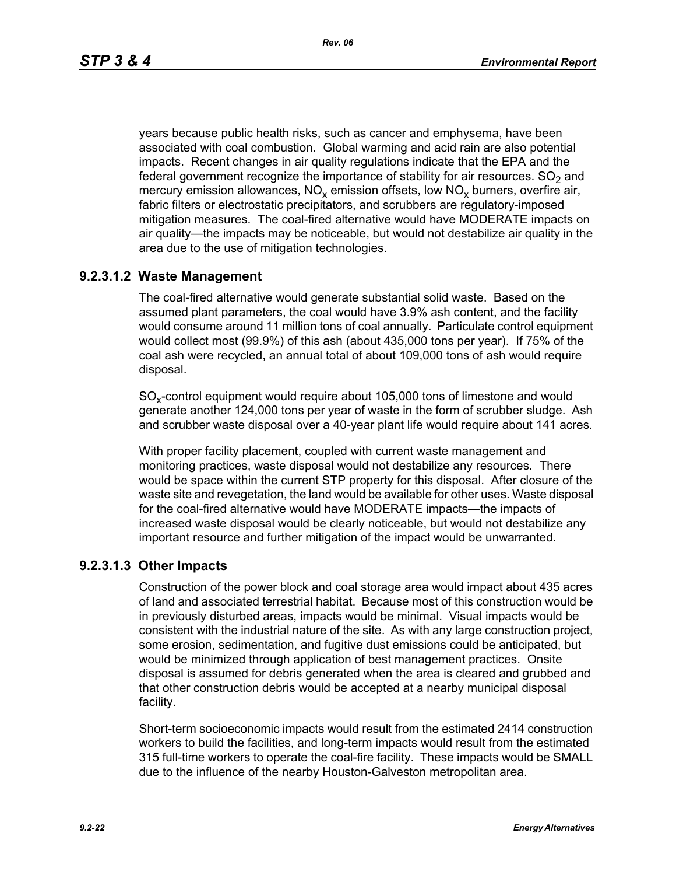*Rev. 06*

years because public health risks, such as cancer and emphysema, have been associated with coal combustion. Global warming and acid rain are also potential impacts. Recent changes in air quality regulations indicate that the EPA and the federal government recognize the importance of stability for air resources.  $SO<sub>2</sub>$  and mercury emission allowances,  $NO_x$  emission offsets, low  $NO_x$  burners, overfire air, fabric filters or electrostatic precipitators, and scrubbers are regulatory-imposed mitigation measures. The coal-fired alternative would have MODERATE impacts on air quality—the impacts may be noticeable, but would not destabilize air quality in the area due to the use of mitigation technologies.

# **9.2.3.1.2 Waste Management**

The coal-fired alternative would generate substantial solid waste. Based on the assumed plant parameters, the coal would have 3.9% ash content, and the facility would consume around 11 million tons of coal annually. Particulate control equipment would collect most (99.9%) of this ash (about 435,000 tons per year). If 75% of the coal ash were recycled, an annual total of about 109,000 tons of ash would require disposal.

SO<sub>y</sub>-control equipment would require about 105,000 tons of limestone and would generate another 124,000 tons per year of waste in the form of scrubber sludge. Ash and scrubber waste disposal over a 40-year plant life would require about 141 acres.

With proper facility placement, coupled with current waste management and monitoring practices, waste disposal would not destabilize any resources. There would be space within the current STP property for this disposal. After closure of the waste site and revegetation, the land would be available for other uses. Waste disposal for the coal-fired alternative would have MODERATE impacts—the impacts of increased waste disposal would be clearly noticeable, but would not destabilize any important resource and further mitigation of the impact would be unwarranted.

# **9.2.3.1.3 Other Impacts**

Construction of the power block and coal storage area would impact about 435 acres of land and associated terrestrial habitat. Because most of this construction would be in previously disturbed areas, impacts would be minimal. Visual impacts would be consistent with the industrial nature of the site. As with any large construction project, some erosion, sedimentation, and fugitive dust emissions could be anticipated, but would be minimized through application of best management practices. Onsite disposal is assumed for debris generated when the area is cleared and grubbed and that other construction debris would be accepted at a nearby municipal disposal facility.

Short-term socioeconomic impacts would result from the estimated 2414 construction workers to build the facilities, and long-term impacts would result from the estimated 315 full-time workers to operate the coal-fire facility. These impacts would be SMALL due to the influence of the nearby Houston-Galveston metropolitan area.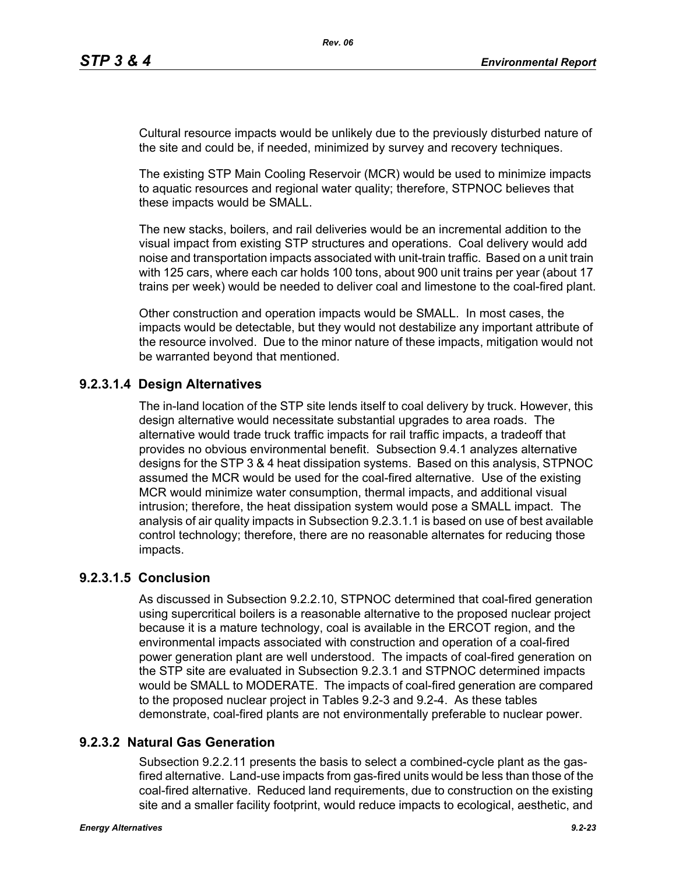Cultural resource impacts would be unlikely due to the previously disturbed nature of the site and could be, if needed, minimized by survey and recovery techniques.

The existing STP Main Cooling Reservoir (MCR) would be used to minimize impacts to aquatic resources and regional water quality; therefore, STPNOC believes that these impacts would be SMALL.

The new stacks, boilers, and rail deliveries would be an incremental addition to the visual impact from existing STP structures and operations. Coal delivery would add noise and transportation impacts associated with unit-train traffic. Based on a unit train with 125 cars, where each car holds 100 tons, about 900 unit trains per year (about 17 trains per week) would be needed to deliver coal and limestone to the coal-fired plant.

Other construction and operation impacts would be SMALL. In most cases, the impacts would be detectable, but they would not destabilize any important attribute of the resource involved. Due to the minor nature of these impacts, mitigation would not be warranted beyond that mentioned.

# **9.2.3.1.4 Design Alternatives**

The in-land location of the STP site lends itself to coal delivery by truck. However, this design alternative would necessitate substantial upgrades to area roads. The alternative would trade truck traffic impacts for rail traffic impacts, a tradeoff that provides no obvious environmental benefit. Subsection 9.4.1 analyzes alternative designs for the STP 3 & 4 heat dissipation systems. Based on this analysis, STPNOC assumed the MCR would be used for the coal-fired alternative. Use of the existing MCR would minimize water consumption, thermal impacts, and additional visual intrusion; therefore, the heat dissipation system would pose a SMALL impact. The analysis of air quality impacts in Subsection 9.2.3.1.1 is based on use of best available control technology; therefore, there are no reasonable alternates for reducing those impacts.

# **9.2.3.1.5 Conclusion**

As discussed in Subsection 9.2.2.10, STPNOC determined that coal-fired generation using supercritical boilers is a reasonable alternative to the proposed nuclear project because it is a mature technology, coal is available in the ERCOT region, and the environmental impacts associated with construction and operation of a coal-fired power generation plant are well understood. The impacts of coal-fired generation on the STP site are evaluated in Subsection 9.2.3.1 and STPNOC determined impacts would be SMALL to MODERATE. The impacts of coal-fired generation are compared to the proposed nuclear project in Tables 9.2-3 and 9.2-4. As these tables demonstrate, coal-fired plants are not environmentally preferable to nuclear power.

# **9.2.3.2 Natural Gas Generation**

Subsection 9.2.2.11 presents the basis to select a combined-cycle plant as the gasfired alternative. Land-use impacts from gas-fired units would be less than those of the coal-fired alternative. Reduced land requirements, due to construction on the existing site and a smaller facility footprint, would reduce impacts to ecological, aesthetic, and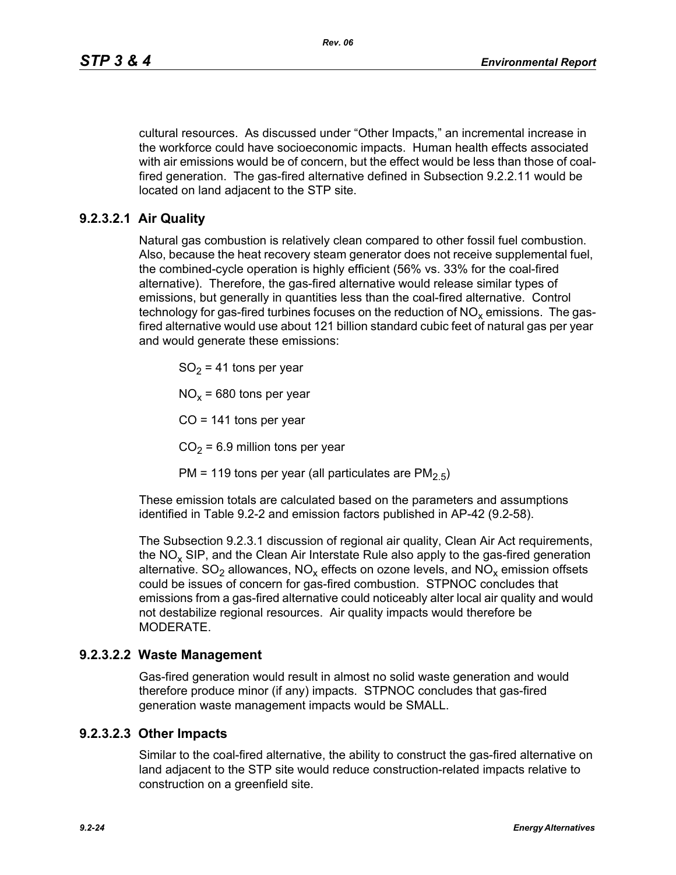cultural resources. As discussed under "Other Impacts," an incremental increase in the workforce could have socioeconomic impacts. Human health effects associated with air emissions would be of concern, but the effect would be less than those of coalfired generation. The gas-fired alternative defined in Subsection 9.2.2.11 would be located on land adjacent to the STP site.

# **9.2.3.2.1 Air Quality**

Natural gas combustion is relatively clean compared to other fossil fuel combustion. Also, because the heat recovery steam generator does not receive supplemental fuel, the combined-cycle operation is highly efficient (56% vs. 33% for the coal-fired alternative). Therefore, the gas-fired alternative would release similar types of emissions, but generally in quantities less than the coal-fired alternative. Control technology for gas-fired turbines focuses on the reduction of  $NO<sub>x</sub>$  emissions. The gasfired alternative would use about 121 billion standard cubic feet of natural gas per year and would generate these emissions:

 $SO<sub>2</sub> = 41$  tons per year

 $NO<sub>x</sub>$  = 680 tons per year

 $CO = 141$  tons per year

 $CO<sub>2</sub> = 6.9$  million tons per year

PM = 119 tons per year (all particulates are  $PM<sub>2.5</sub>$ )

These emission totals are calculated based on the parameters and assumptions identified in Table 9.2-2 and emission factors published in AP-42 (9.2-58).

The Subsection 9.2.3.1 discussion of regional air quality, Clean Air Act requirements, the  $NO<sub>x</sub>$  SIP, and the Clean Air Interstate Rule also apply to the gas-fired generation alternative.  $SO_2$  allowances,  $NO_x$  effects on ozone levels, and  $NO_x$  emission offsets could be issues of concern for gas-fired combustion. STPNOC concludes that emissions from a gas-fired alternative could noticeably alter local air quality and would not destabilize regional resources. Air quality impacts would therefore be MODERATE.

### **9.2.3.2.2 Waste Management**

Gas-fired generation would result in almost no solid waste generation and would therefore produce minor (if any) impacts. STPNOC concludes that gas-fired generation waste management impacts would be SMALL.

### **9.2.3.2.3 Other Impacts**

Similar to the coal-fired alternative, the ability to construct the gas-fired alternative on land adjacent to the STP site would reduce construction-related impacts relative to construction on a greenfield site.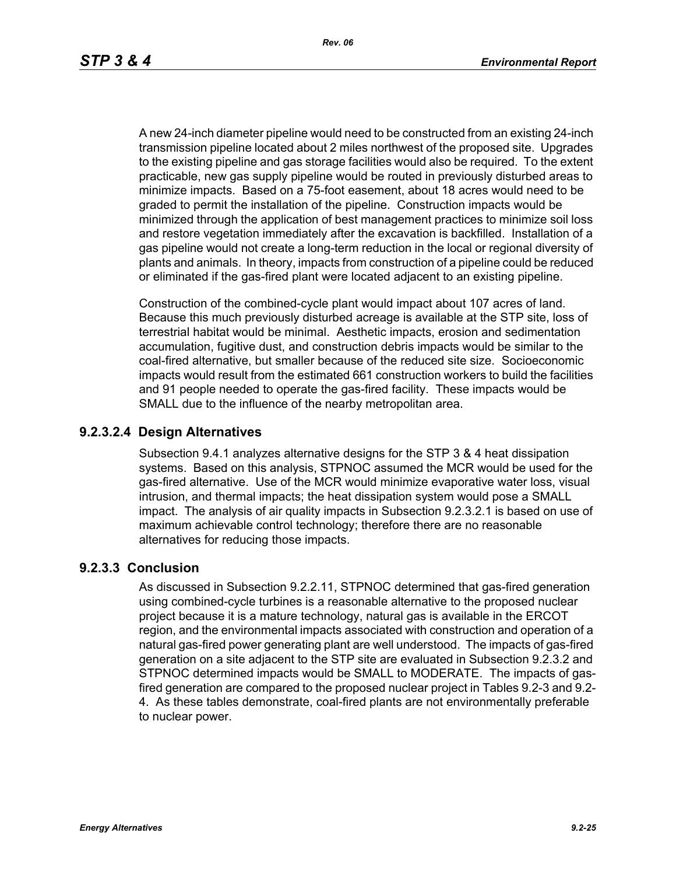*Rev. 06*

A new 24-inch diameter pipeline would need to be constructed from an existing 24-inch transmission pipeline located about 2 miles northwest of the proposed site. Upgrades to the existing pipeline and gas storage facilities would also be required. To the extent practicable, new gas supply pipeline would be routed in previously disturbed areas to minimize impacts. Based on a 75-foot easement, about 18 acres would need to be graded to permit the installation of the pipeline. Construction impacts would be minimized through the application of best management practices to minimize soil loss and restore vegetation immediately after the excavation is backfilled. Installation of a gas pipeline would not create a long-term reduction in the local or regional diversity of plants and animals. In theory, impacts from construction of a pipeline could be reduced or eliminated if the gas-fired plant were located adjacent to an existing pipeline.

Construction of the combined-cycle plant would impact about 107 acres of land. Because this much previously disturbed acreage is available at the STP site, loss of terrestrial habitat would be minimal. Aesthetic impacts, erosion and sedimentation accumulation, fugitive dust, and construction debris impacts would be similar to the coal-fired alternative, but smaller because of the reduced site size. Socioeconomic impacts would result from the estimated 661 construction workers to build the facilities and 91 people needed to operate the gas-fired facility. These impacts would be SMALL due to the influence of the nearby metropolitan area.

## **9.2.3.2.4 Design Alternatives**

Subsection 9.4.1 analyzes alternative designs for the STP 3 & 4 heat dissipation systems. Based on this analysis, STPNOC assumed the MCR would be used for the gas-fired alternative. Use of the MCR would minimize evaporative water loss, visual intrusion, and thermal impacts; the heat dissipation system would pose a SMALL impact. The analysis of air quality impacts in Subsection 9.2.3.2.1 is based on use of maximum achievable control technology; therefore there are no reasonable alternatives for reducing those impacts.

# **9.2.3.3 Conclusion**

As discussed in Subsection 9.2.2.11, STPNOC determined that gas-fired generation using combined-cycle turbines is a reasonable alternative to the proposed nuclear project because it is a mature technology, natural gas is available in the ERCOT region, and the environmental impacts associated with construction and operation of a natural gas-fired power generating plant are well understood. The impacts of gas-fired generation on a site adjacent to the STP site are evaluated in Subsection 9.2.3.2 and STPNOC determined impacts would be SMALL to MODERATE. The impacts of gasfired generation are compared to the proposed nuclear project in Tables 9.2-3 and 9.2- 4. As these tables demonstrate, coal-fired plants are not environmentally preferable to nuclear power.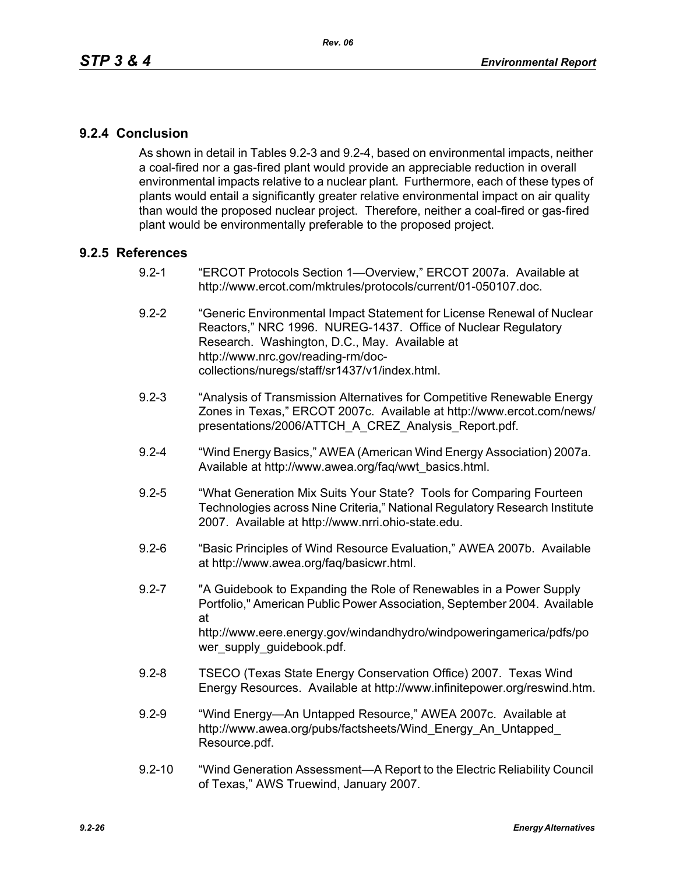# **9.2.4 Conclusion**

As shown in detail in Tables 9.2-3 and 9.2-4, based on environmental impacts, neither a coal-fired nor a gas-fired plant would provide an appreciable reduction in overall environmental impacts relative to a nuclear plant. Furthermore, each of these types of plants would entail a significantly greater relative environmental impact on air quality than would the proposed nuclear project. Therefore, neither a coal-fired or gas-fired plant would be environmentally preferable to the proposed project.

## **9.2.5 References**

- 9.2-1 "ERCOT Protocols Section 1—Overview," ERCOT 2007a. Available at http://www.ercot.com/mktrules/protocols/current/01-050107.doc.
- 9.2-2 "Generic Environmental Impact Statement for License Renewal of Nuclear Reactors," NRC 1996. NUREG-1437. Office of Nuclear Regulatory Research. Washington, D.C., May. Available at http://www.nrc.gov/reading-rm/doccollections/nuregs/staff/sr1437/v1/index.html.
- 9.2-3 "Analysis of Transmission Alternatives for Competitive Renewable Energy Zones in Texas," ERCOT 2007c. Available at http://www.ercot.com/news/ presentations/2006/ATTCH\_A\_CREZ\_Analysis\_Report.pdf.
- 9.2-4 "Wind Energy Basics," AWEA (American Wind Energy Association) 2007a. Available at http://www.awea.org/faq/wwt\_basics.html.
- 9.2-5 "What Generation Mix Suits Your State? Tools for Comparing Fourteen Technologies across Nine Criteria," National Regulatory Research Institute 2007. Available at http://www.nrri.ohio-state.edu.
- 9.2-6 "Basic Principles of Wind Resource Evaluation," AWEA 2007b. Available at http://www.awea.org/faq/basicwr.html.
- 9.2-7 "A Guidebook to Expanding the Role of Renewables in a Power Supply Portfolio," American Public Power Association, September 2004. Available at http://www.eere.energy.gov/windandhydro/windpoweringamerica/pdfs/po wer\_supply\_guidebook.pdf.
- 9.2-8 TSECO (Texas State Energy Conservation Office) 2007. Texas Wind Energy Resources. Available at http://www.infinitepower.org/reswind.htm.
- 9.2-9 "Wind Energy—An Untapped Resource," AWEA 2007c. Available at http://www.awea.org/pubs/factsheets/Wind\_Energy\_An\_Untapped\_ Resource.pdf.
- 9.2-10 "Wind Generation Assessment—A Report to the Electric Reliability Council of Texas," AWS Truewind, January 2007.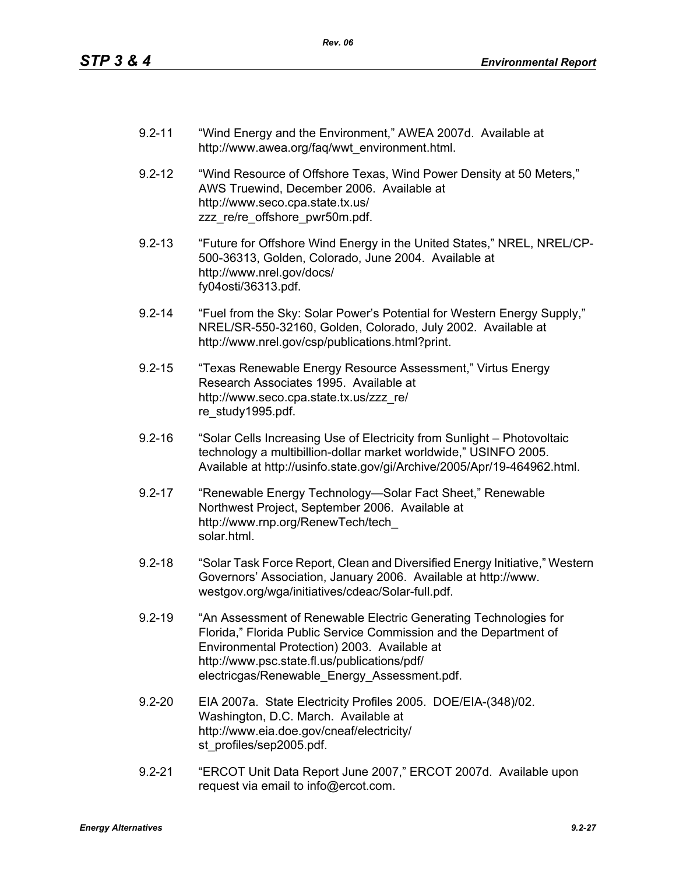- 9.2-11 "Wind Energy and the Environment," AWEA 2007d. Available at http://www.awea.org/faq/wwt\_environment.html.
- 9.2-12 "Wind Resource of Offshore Texas, Wind Power Density at 50 Meters," AWS Truewind, December 2006. Available at http://www.seco.cpa.state.tx.us/ zzz\_re/re\_offshore\_pwr50m.pdf.
- 9.2-13 "Future for Offshore Wind Energy in the United States," NREL, NREL/CP-500-36313, Golden, Colorado, June 2004. Available at http://www.nrel.gov/docs/ fy04osti/36313.pdf.
- 9.2-14 "Fuel from the Sky: Solar Power's Potential for Western Energy Supply," NREL/SR-550-32160, Golden, Colorado, July 2002. Available at http://www.nrel.gov/csp/publications.html?print.
- 9.2-15 "Texas Renewable Energy Resource Assessment," Virtus Energy Research Associates 1995. Available at http://www.seco.cpa.state.tx.us/zzz\_re/ re\_study1995.pdf.
- 9.2-16 "Solar Cells Increasing Use of Electricity from Sunlight Photovoltaic technology a multibillion-dollar market worldwide," USINFO 2005. Available at http://usinfo.state.gov/gi/Archive/2005/Apr/19-464962.html.
- 9.2-17 "Renewable Energy Technology—Solar Fact Sheet," Renewable Northwest Project, September 2006. Available at http://www.rnp.org/RenewTech/tech\_ solar.html.
- 9.2-18 "Solar Task Force Report, Clean and Diversified Energy Initiative," Western Governors' Association, January 2006. Available at http://www. westgov.org/wga/initiatives/cdeac/Solar-full.pdf.
- 9.2-19 "An Assessment of Renewable Electric Generating Technologies for Florida," Florida Public Service Commission and the Department of Environmental Protection) 2003. Available at http://www.psc.state.fl.us/publications/pdf/ electricgas/Renewable\_Energy\_Assessment.pdf.
- 9.2-20 EIA 2007a. State Electricity Profiles 2005. DOE/EIA-(348)/02. Washington, D.C. March. Available at http://www.eia.doe.gov/cneaf/electricity/ st\_profiles/sep2005.pdf.
- 9.2-21 "ERCOT Unit Data Report June 2007," ERCOT 2007d. Available upon request via email to info@ercot.com.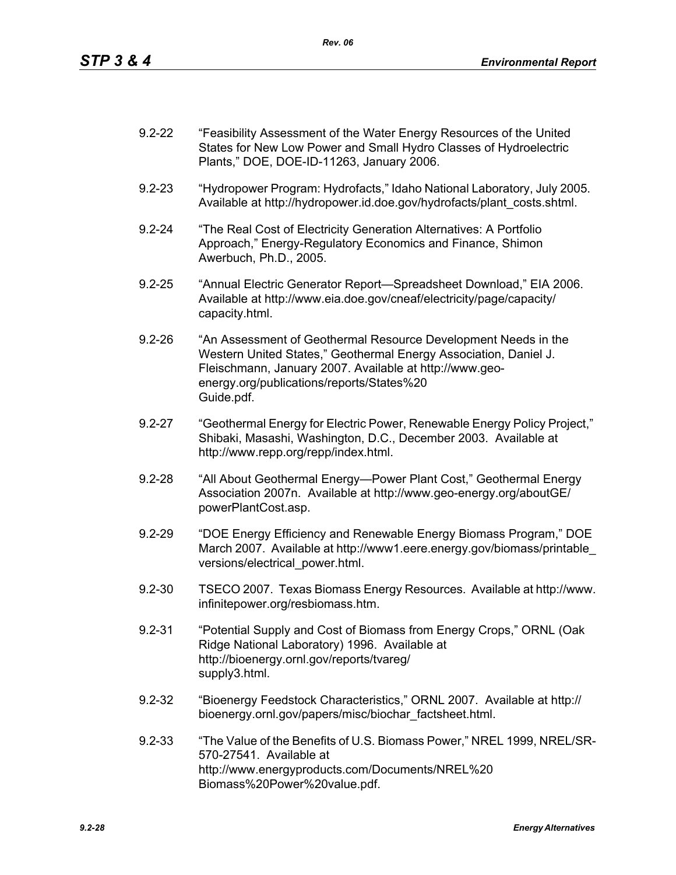| $9.2 - 22$ | "Feasibility Assessment of the Water Energy Resources of the United |
|------------|---------------------------------------------------------------------|
|            | States for New Low Power and Small Hydro Classes of Hydroelectric   |
|            | Plants," DOE, DOE-ID-11263, January 2006.                           |

- 9.2-23 "Hydropower Program: Hydrofacts," Idaho National Laboratory, July 2005. Available at http://hydropower.id.doe.gov/hydrofacts/plant\_costs.shtml.
- 9.2-24 "The Real Cost of Electricity Generation Alternatives: A Portfolio Approach," Energy-Regulatory Economics and Finance, Shimon Awerbuch, Ph.D., 2005.
- 9.2-25 "Annual Electric Generator Report—Spreadsheet Download," EIA 2006. Available at http://www.eia.doe.gov/cneaf/electricity/page/capacity/ capacity.html.
- 9.2-26 "An Assessment of Geothermal Resource Development Needs in the Western United States," Geothermal Energy Association, Daniel J. Fleischmann, January 2007. Available at http://www.geoenergy.org/publications/reports/States%20 Guide.pdf.
- 9.2-27 "Geothermal Energy for Electric Power, Renewable Energy Policy Project," Shibaki, Masashi, Washington, D.C., December 2003. Available at http://www.repp.org/repp/index.html.
- 9.2-28 "All About Geothermal Energy—Power Plant Cost," Geothermal Energy Association 2007n. Available at http://www.geo-energy.org/aboutGE/ powerPlantCost.asp.
- 9.2-29 "DOE Energy Efficiency and Renewable Energy Biomass Program," DOE March 2007. Available at http://www1.eere.energy.gov/biomass/printable\_ versions/electrical\_power.html.
- 9.2-30 TSECO 2007. Texas Biomass Energy Resources. Available at http://www. infinitepower.org/resbiomass.htm.
- 9.2-31 "Potential Supply and Cost of Biomass from Energy Crops," ORNL (Oak Ridge National Laboratory) 1996. Available at http://bioenergy.ornl.gov/reports/tvareg/ supply3.html.
- 9.2-32 "Bioenergy Feedstock Characteristics," ORNL 2007. Available at http:// bioenergy.ornl.gov/papers/misc/biochar\_factsheet.html.
- 9.2-33 "The Value of the Benefits of U.S. Biomass Power," NREL 1999, NREL/SR-570-27541. Available at http://www.energyproducts.com/Documents/NREL%20 Biomass%20Power%20value.pdf.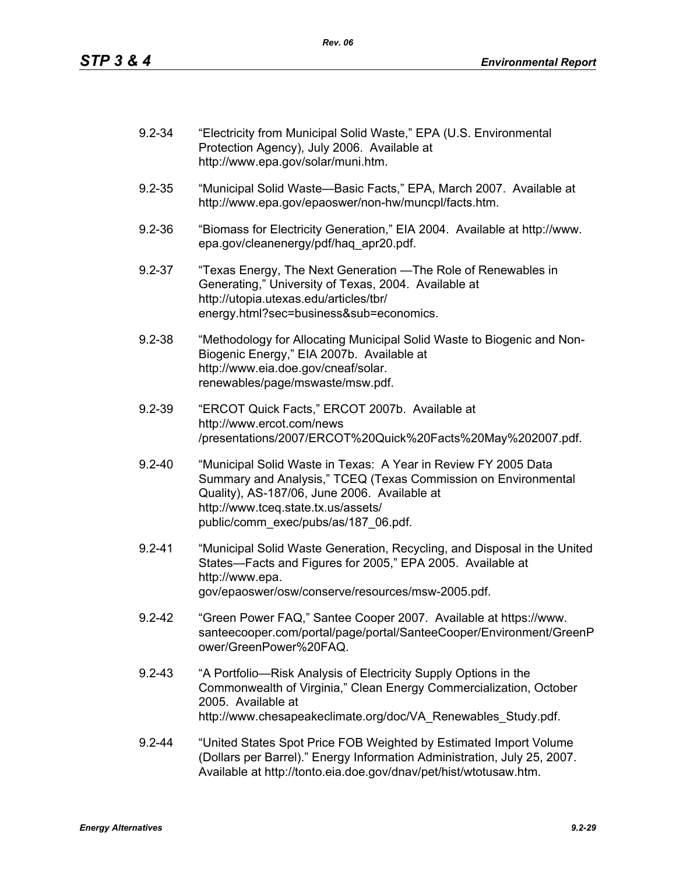| $9.2 - 34$ | "Electricity from Municipal Solid Waste," EPA (U.S. Environmental<br>Protection Agency), July 2006. Available at<br>http://www.epa.gov/solar/muni.htm.                                                                                                          |
|------------|-----------------------------------------------------------------------------------------------------------------------------------------------------------------------------------------------------------------------------------------------------------------|
| $9.2 - 35$ | "Municipal Solid Waste-Basic Facts," EPA, March 2007. Available at<br>http://www.epa.gov/epaoswer/non-hw/muncpl/facts.htm.                                                                                                                                      |
| $9.2 - 36$ | "Biomass for Electricity Generation," EIA 2004. Available at http://www.<br>epa.gov/cleanenergy/pdf/haq apr20.pdf.                                                                                                                                              |
| $9.2 - 37$ | "Texas Energy, The Next Generation — The Role of Renewables in<br>Generating," University of Texas, 2004. Available at<br>http://utopia.utexas.edu/articles/tbr/<br>energy.html?sec=business⊂=economics.                                                        |
| $9.2 - 38$ | "Methodology for Allocating Municipal Solid Waste to Biogenic and Non-<br>Biogenic Energy," EIA 2007b. Available at<br>http://www.eia.doe.gov/cneaf/solar.<br>renewables/page/mswaste/msw.pdf.                                                                  |
| $9.2 - 39$ | "ERCOT Quick Facts," ERCOT 2007b. Available at<br>http://www.ercot.com/news<br>/presentations/2007/ERCOT%20Quick%20Facts%20May%202007.pdf.                                                                                                                      |
| $9.2 - 40$ | "Municipal Solid Waste in Texas: A Year in Review FY 2005 Data<br>Summary and Analysis," TCEQ (Texas Commission on Environmental<br>Quality), AS-187/06, June 2006. Available at<br>http://www.tceq.state.tx.us/assets/<br>public/comm_exec/pubs/as/187_06.pdf. |
| $9.2 - 41$ | "Municipal Solid Waste Generation, Recycling, and Disposal in the United<br>States-Facts and Figures for 2005," EPA 2005. Available at<br>http://www.epa.<br>gov/epaoswer/osw/conserve/resources/msw-2005.pdf.                                                  |
| $9.2 - 42$ | "Green Power FAQ," Santee Cooper 2007. Available at https://www.<br>santeecooper.com/portal/page/portal/SanteeCooper/Environment/GreenP<br>ower/GreenPower%20FAQ.                                                                                               |
| $9.2 - 43$ | "A Portfolio—Risk Analysis of Electricity Supply Options in the<br>Commonwealth of Virginia," Clean Energy Commercialization, October<br>2005. Available at<br>http://www.chesapeakeclimate.org/doc/VA_Renewables_Study.pdf.                                    |
| $9.2 - 44$ | "United States Spot Price FOB Weighted by Estimated Import Volume<br>(Dollars per Barrel)." Energy Information Administration, July 25, 2007.<br>Available at http://tonto.eia.doe.gov/dnav/pet/hist/wtotusaw.htm.                                              |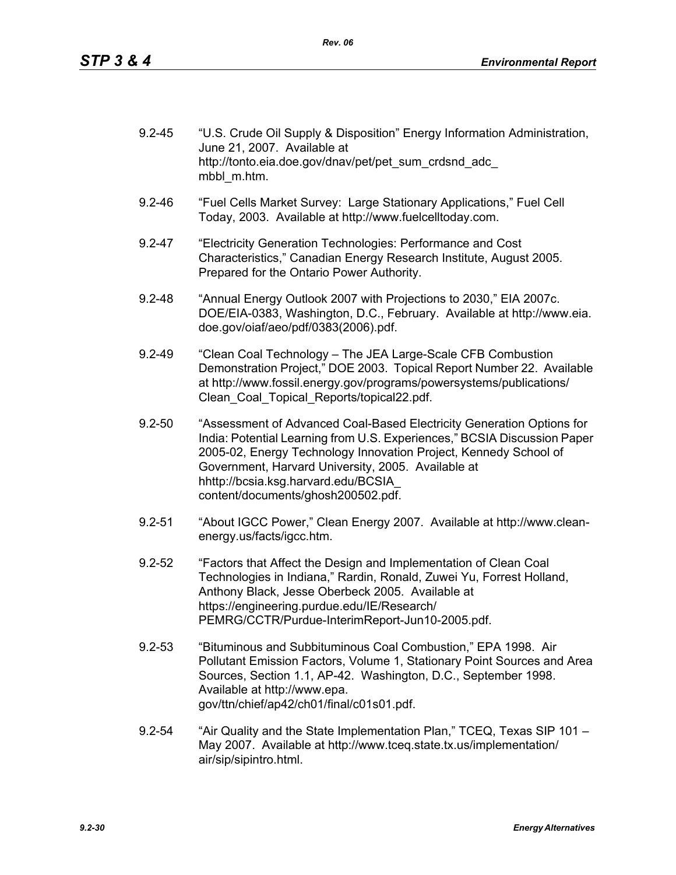| $9.2 - 45$ | "U.S. Crude Oil Supply & Disposition" Energy Information Administration,<br>June 21, 2007. Available at<br>http://tonto.eia.doe.gov/dnav/pet/pet sum crdsnd adc |
|------------|-----------------------------------------------------------------------------------------------------------------------------------------------------------------|
|            | mbbl m.htm.                                                                                                                                                     |

- 9.2-46 "Fuel Cells Market Survey: Large Stationary Applications," Fuel Cell Today, 2003. Available at http://www.fuelcelltoday.com.
- 9.2-47 "Electricity Generation Technologies: Performance and Cost Characteristics," Canadian Energy Research Institute, August 2005. Prepared for the Ontario Power Authority.
- 9.2-48 "Annual Energy Outlook 2007 with Projections to 2030," EIA 2007c. DOE/EIA-0383, Washington, D.C., February. Available at http://www.eia. doe.gov/oiaf/aeo/pdf/0383(2006).pdf.
- 9.2-49 "Clean Coal Technology The JEA Large-Scale CFB Combustion Demonstration Project," DOE 2003. Topical Report Number 22. Available at http://www.fossil.energy.gov/programs/powersystems/publications/ Clean\_Coal\_Topical\_Reports/topical22.pdf.
- 9.2-50 "Assessment of Advanced Coal-Based Electricity Generation Options for India: Potential Learning from U.S. Experiences," BCSIA Discussion Paper 2005-02, Energy Technology Innovation Project, Kennedy School of Government, Harvard University, 2005. Available at hhttp://bcsia.ksg.harvard.edu/BCSIA\_ content/documents/ghosh200502.pdf.
- 9.2-51 "About IGCC Power," Clean Energy 2007. Available at http://www.cleanenergy.us/facts/igcc.htm.
- 9.2-52 "Factors that Affect the Design and Implementation of Clean Coal Technologies in Indiana," Rardin, Ronald, Zuwei Yu, Forrest Holland, Anthony Black, Jesse Oberbeck 2005. Available at https://engineering.purdue.edu/IE/Research/ PEMRG/CCTR/Purdue-InterimReport-Jun10-2005.pdf.
- 9.2-53 "Bituminous and Subbituminous Coal Combustion," EPA 1998. Air Pollutant Emission Factors, Volume 1, Stationary Point Sources and Area Sources, Section 1.1, AP-42. Washington, D.C., September 1998. Available at http://www.epa. gov/ttn/chief/ap42/ch01/final/c01s01.pdf.
- 9.2-54 "Air Quality and the State Implementation Plan," TCEQ, Texas SIP 101 May 2007. Available at http://www.tceq.state.tx.us/implementation/ air/sip/sipintro.html.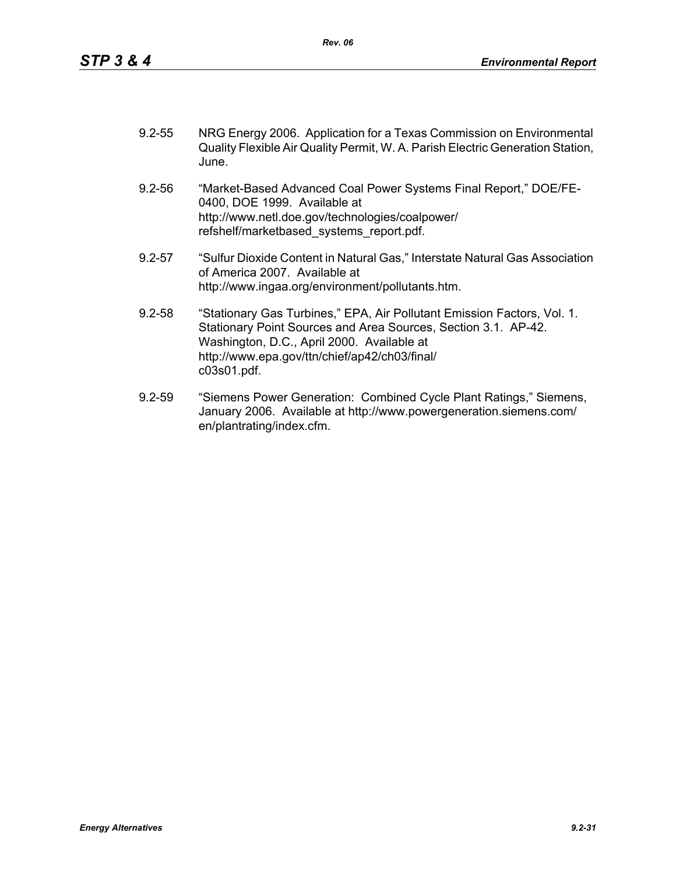| $9.2 - 55$ | NRG Energy 2006. Application for a Texas Commission on Environmental           |
|------------|--------------------------------------------------------------------------------|
|            | Quality Flexible Air Quality Permit, W. A. Parish Electric Generation Station, |
|            | June.                                                                          |

- 9.2-56 "Market-Based Advanced Coal Power Systems Final Report," DOE/FE-0400, DOE 1999. Available at http://www.netl.doe.gov/technologies/coalpower/ refshelf/marketbased\_systems\_report.pdf.
- 9.2-57 "Sulfur Dioxide Content in Natural Gas," Interstate Natural Gas Association of America 2007. Available at http://www.ingaa.org/environment/pollutants.htm.
- 9.2-58 "Stationary Gas Turbines," EPA, Air Pollutant Emission Factors, Vol. 1. Stationary Point Sources and Area Sources, Section 3.1. AP-42. Washington, D.C., April 2000. Available at http://www.epa.gov/ttn/chief/ap42/ch03/final/ c03s01.pdf.
- 9.2-59 "Siemens Power Generation: Combined Cycle Plant Ratings," Siemens, January 2006. Available at http://www.powergeneration.siemens.com/ en/plantrating/index.cfm.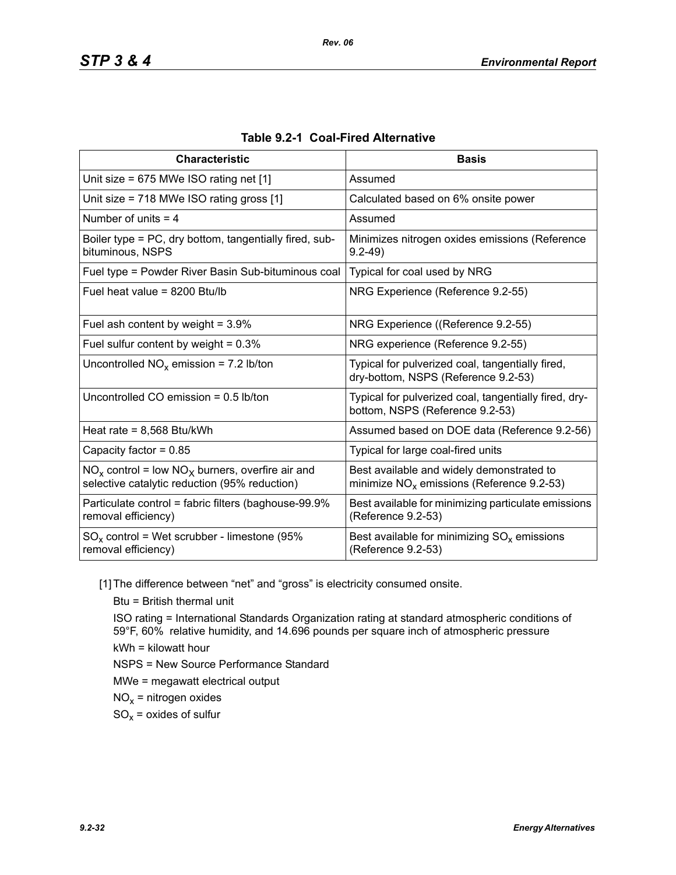| <b>Characteristic</b>                                                                                  | <b>Basis</b>                                                                             |
|--------------------------------------------------------------------------------------------------------|------------------------------------------------------------------------------------------|
| Unit size = $675$ MWe ISO rating net [1]                                                               | Assumed                                                                                  |
| Unit size = 718 MWe ISO rating gross [1]                                                               | Calculated based on 6% onsite power                                                      |
| Number of units $=$ 4                                                                                  | Assumed                                                                                  |
| Boiler type = PC, dry bottom, tangentially fired, sub-<br>bituminous, NSPS                             | Minimizes nitrogen oxides emissions (Reference<br>$9.2 - 49$                             |
| Fuel type = Powder River Basin Sub-bituminous coal                                                     | Typical for coal used by NRG                                                             |
| Fuel heat value = 8200 Btu/lb                                                                          | NRG Experience (Reference 9.2-55)                                                        |
| Fuel ash content by weight = $3.9\%$                                                                   | NRG Experience ((Reference 9.2-55)                                                       |
| Fuel sulfur content by weight = $0.3\%$                                                                | NRG experience (Reference 9.2-55)                                                        |
| Uncontrolled $NO_x$ emission = 7.2 lb/ton                                                              | Typical for pulverized coal, tangentially fired,<br>dry-bottom, NSPS (Reference 9.2-53)  |
| Uncontrolled CO emission = $0.5$ lb/ton                                                                | Typical for pulverized coal, tangentially fired, dry-<br>bottom, NSPS (Reference 9.2-53) |
| Heat rate = $8,568$ Btu/kWh                                                                            | Assumed based on DOE data (Reference 9.2-56)                                             |
| Capacity factor = $0.85$                                                                               | Typical for large coal-fired units                                                       |
| $NO_x$ control = low $NO_x$ burners, overfire air and<br>selective catalytic reduction (95% reduction) | Best available and widely demonstrated to<br>minimize $NOx$ emissions (Reference 9.2-53) |
| Particulate control = fabric filters (baghouse-99.9%<br>removal efficiency)                            | Best available for minimizing particulate emissions<br>(Reference 9.2-53)                |
| $SO_x$ control = Wet scrubber - limestone (95%<br>removal efficiency)                                  | Best available for minimizing $SO_x$ emissions<br>(Reference 9.2-53)                     |

| Table 9.2-1 Coal-Fired Alternative |  |
|------------------------------------|--|
|------------------------------------|--|

[1] The difference between "net" and "gross" is electricity consumed onsite.

Btu = British thermal unit

ISO rating = International Standards Organization rating at standard atmospheric conditions of 59°F, 60% relative humidity, and 14.696 pounds per square inch of atmospheric pressure kWh = kilowatt hour

NSPS = New Source Performance Standard

MWe = megawatt electrical output

 $NO<sub>x</sub>$  = nitrogen oxides

 $SO_x =$  oxides of sulfur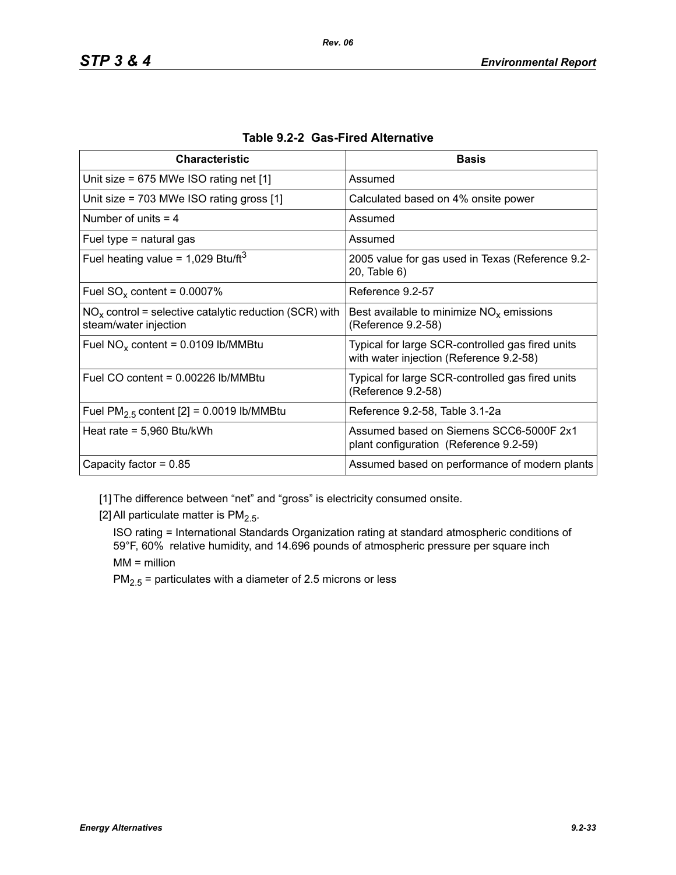| <b>Characteristic</b>                                                             | <b>Basis</b>                                                                                |
|-----------------------------------------------------------------------------------|---------------------------------------------------------------------------------------------|
| Unit size = $675$ MWe ISO rating net [1]                                          | Assumed                                                                                     |
| Unit size = $703$ MWe ISO rating gross [1]                                        | Calculated based on 4% onsite power                                                         |
| Number of units $=$ 4                                                             | Assumed                                                                                     |
| Fuel type $=$ natural gas                                                         | Assumed                                                                                     |
| Fuel heating value = $1,029$ Btu/ft <sup>3</sup>                                  | 2005 value for gas used in Texas (Reference 9.2-<br>20, Table 6)                            |
| Fuel $SO_x$ content = 0.0007%                                                     | Reference 9.2-57                                                                            |
| $NOx$ control = selective catalytic reduction (SCR) with<br>steam/water injection | Best available to minimize $NOx$ emissions<br>(Reference 9.2-58)                            |
| Fuel $NO_x$ content = 0.0109 lb/MMBtu                                             | Typical for large SCR-controlled gas fired units<br>with water injection (Reference 9.2-58) |
| Fuel CO content = $0.00226$ lb/MMBtu                                              | Typical for large SCR-controlled gas fired units<br>(Reference 9.2-58)                      |
| Fuel $PM2.5$ content [2] = 0.0019 lb/MMBtu                                        | Reference 9.2-58, Table 3.1-2a                                                              |
| Heat rate = $5,960$ Btu/kWh                                                       | Assumed based on Siemens SCC6-5000F 2x1<br>plant configuration (Reference 9.2-59)           |
| Capacity factor = $0.85$                                                          | Assumed based on performance of modern plants                                               |

|  |  | Table 9.2-2 Gas-Fired Alternative |
|--|--|-----------------------------------|
|--|--|-----------------------------------|

[1] The difference between "net" and "gross" is electricity consumed onsite.

[2] All particulate matter is  $PM<sub>2.5</sub>$ .

ISO rating = International Standards Organization rating at standard atmospheric conditions of 59°F, 60% relative humidity, and 14.696 pounds of atmospheric pressure per square inch MM = million

 $PM_{2.5}$  = particulates with a diameter of 2.5 microns or less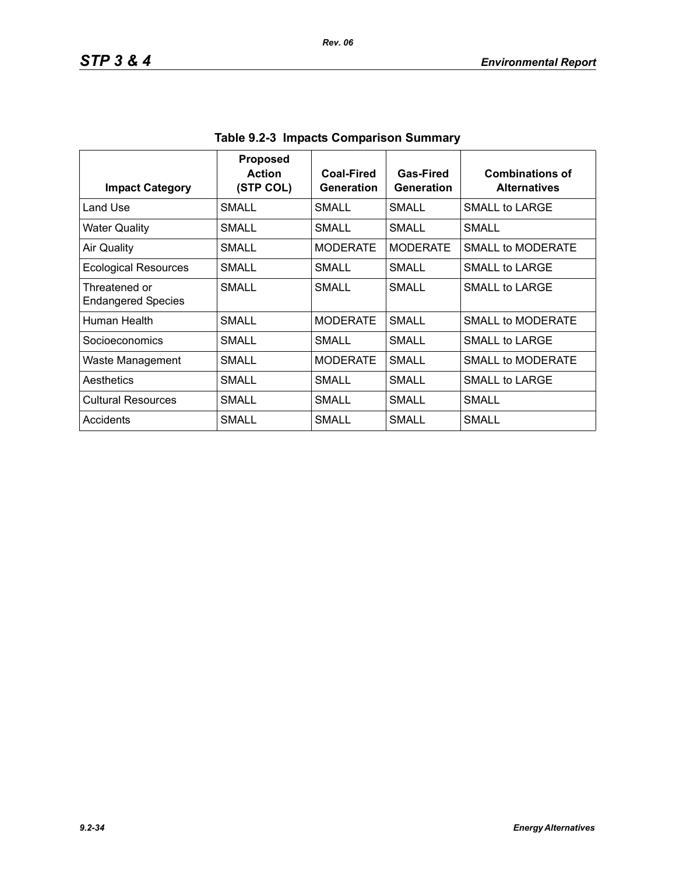| <b>Impact Category</b>                     | <b>Proposed</b><br><b>Action</b><br>(STP COL) | Coal-Fired<br>Generation | Gas-Fired<br>Generation | <b>Combinations of</b><br><b>Alternatives</b> |
|--------------------------------------------|-----------------------------------------------|--------------------------|-------------------------|-----------------------------------------------|
| Land Use                                   | <b>SMALL</b>                                  | SMALL                    | <b>SMALL</b>            | SMALL to LARGE                                |
| <b>Water Quality</b>                       | SMALL                                         | SMALL                    | SMALL                   | SMALL                                         |
| <b>Air Quality</b>                         | <b>SMALL</b>                                  | <b>MODERATE</b>          | <b>MODERATE</b>         | <b>SMALL to MODERATE</b>                      |
| <b>Ecological Resources</b>                | SMALL                                         | SMALL                    | SMALL                   | SMALL to LARGE                                |
| Threatened or<br><b>Endangered Species</b> | <b>SMALL</b>                                  | <b>SMALL</b>             | SMALL                   | SMALL to LARGE                                |
| Human Health                               | <b>SMALL</b>                                  | <b>MODERATE</b>          | <b>SMALL</b>            | SMALL to MODERATE                             |
| Socioeconomics                             | SMALL                                         | SMALL                    | SMALL                   | SMALL to LARGE                                |
| Waste Management                           | <b>SMALL</b>                                  | <b>MODERATE</b>          | SMALL                   | SMALL to MODERATE                             |
| Aesthetics                                 | SMALL                                         | SMALL                    | SMALL                   | SMALL to LARGE                                |
| <b>Cultural Resources</b>                  | <b>SMALL</b>                                  | SMALL                    | SMALL                   | SMALL                                         |
| Accidents                                  | SMALL                                         | <b>SMALL</b>             | SMALL                   | <b>SMALL</b>                                  |

**Table 9.2-3 Impacts Comparison Summary**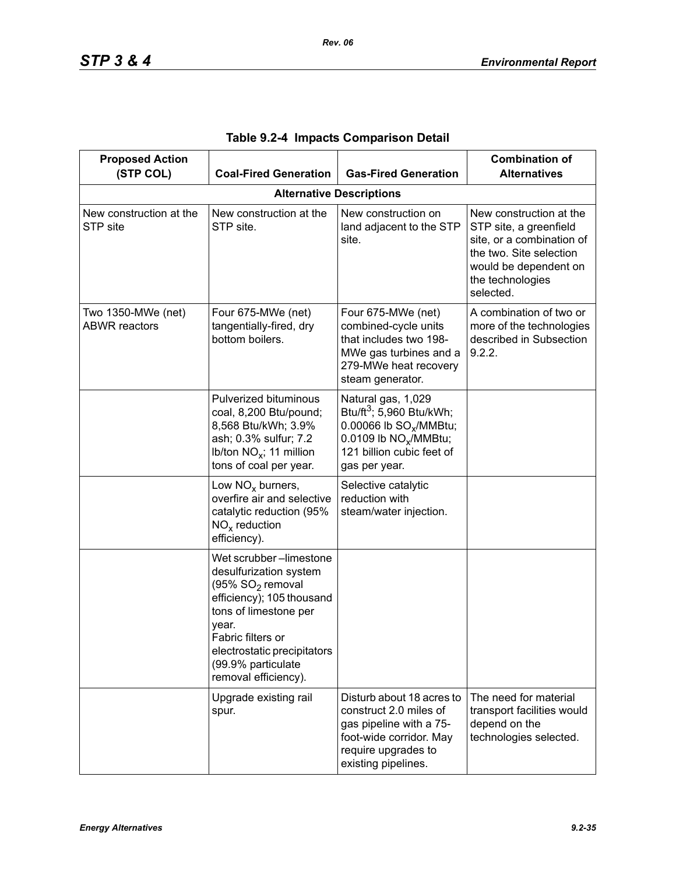| <b>Proposed Action</b><br>(STP COL)        | <b>Coal-Fired Generation</b>                                                                                                                                                                                                                      | <b>Gas-Fired Generation</b>                                                                                                                                                         | <b>Combination of</b><br><b>Alternatives</b>                                                                                                                        |
|--------------------------------------------|---------------------------------------------------------------------------------------------------------------------------------------------------------------------------------------------------------------------------------------------------|-------------------------------------------------------------------------------------------------------------------------------------------------------------------------------------|---------------------------------------------------------------------------------------------------------------------------------------------------------------------|
|                                            |                                                                                                                                                                                                                                                   | <b>Alternative Descriptions</b>                                                                                                                                                     |                                                                                                                                                                     |
| New construction at the<br>STP site        | New construction at the<br>STP site.                                                                                                                                                                                                              | New construction on<br>land adjacent to the STP<br>site.                                                                                                                            | New construction at the<br>STP site, a greenfield<br>site, or a combination of<br>the two. Site selection<br>would be dependent on<br>the technologies<br>selected. |
| Two 1350-MWe (net)<br><b>ABWR</b> reactors | Four 675-MWe (net)<br>tangentially-fired, dry<br>bottom boilers.                                                                                                                                                                                  | Four 675-MWe (net)<br>combined-cycle units<br>that includes two 198-<br>MWe gas turbines and a<br>279-MWe heat recovery<br>steam generator.                                         | A combination of two or<br>more of the technologies<br>described in Subsection<br>9.2.2.                                                                            |
|                                            | Pulverized bituminous<br>coal, 8,200 Btu/pound;<br>8,568 Btu/kWh; 3.9%<br>ash; 0.3% sulfur; 7.2<br>Ib/ton $NO_x$ ; 11 million<br>tons of coal per year.                                                                                           | Natural gas, 1,029<br>Btu/ft <sup>3</sup> ; 5,960 Btu/kWh;<br>0.00066 lb SO <sub>v</sub> /MMBtu;<br>0.0109 lb NO <sub>x</sub> /MMBtu;<br>121 billion cubic feet of<br>gas per year. |                                                                                                                                                                     |
|                                            | Low $NOx$ burners,<br>overfire air and selective<br>catalytic reduction (95%<br>$NOx$ reduction<br>efficiency).                                                                                                                                   | Selective catalytic<br>reduction with<br>steam/water injection.                                                                                                                     |                                                                                                                                                                     |
|                                            | Wet scrubber-limestone<br>desulfurization system<br>(95% SO <sub>2</sub> removal<br>efficiency); 105 thousand<br>tons of limestone per<br>year.<br>Fabric filters or<br>electrostatic precipitators<br>(99.9% particulate<br>removal efficiency). |                                                                                                                                                                                     |                                                                                                                                                                     |
|                                            | Upgrade existing rail<br>spur.                                                                                                                                                                                                                    | Disturb about 18 acres to<br>construct 2.0 miles of<br>gas pipeline with a 75-<br>foot-wide corridor. May<br>require upgrades to<br>existing pipelines.                             | The need for material<br>transport facilities would<br>depend on the<br>technologies selected.                                                                      |

| Table 9.2-4 Impacts Comparison Detail |  |  |  |  |
|---------------------------------------|--|--|--|--|
|---------------------------------------|--|--|--|--|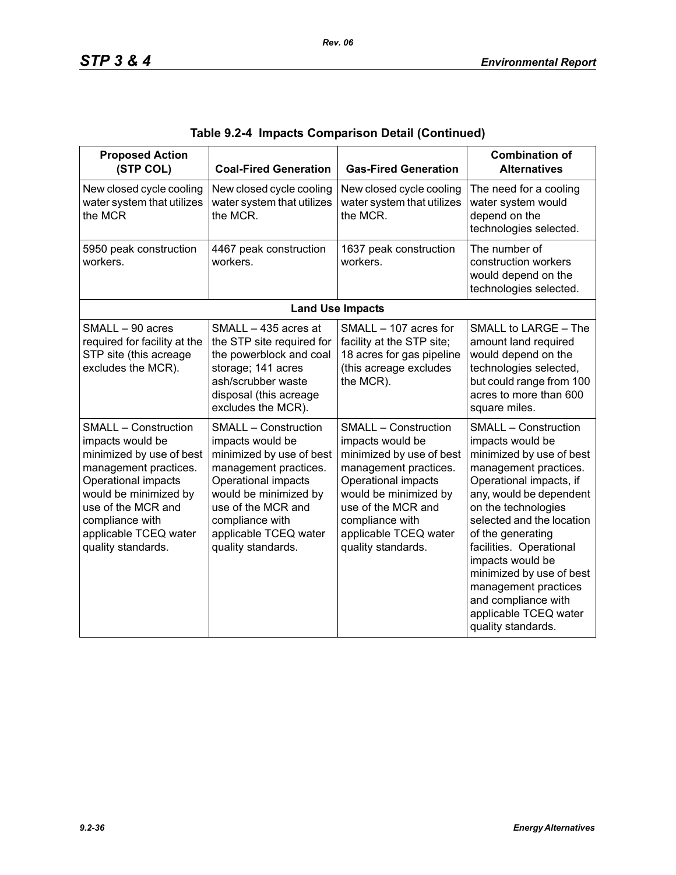| <b>Proposed Action</b><br>(STP COL)                                                                                                                                                                                                          | <b>Coal-Fired Generation</b>                                                                                                                                                                                                                 | <b>Gas-Fired Generation</b>                                                                                                                                                                                                                  | <b>Combination of</b><br><b>Alternatives</b>                                                                                                                                                                                                                                                                                                                                                                 |
|----------------------------------------------------------------------------------------------------------------------------------------------------------------------------------------------------------------------------------------------|----------------------------------------------------------------------------------------------------------------------------------------------------------------------------------------------------------------------------------------------|----------------------------------------------------------------------------------------------------------------------------------------------------------------------------------------------------------------------------------------------|--------------------------------------------------------------------------------------------------------------------------------------------------------------------------------------------------------------------------------------------------------------------------------------------------------------------------------------------------------------------------------------------------------------|
| New closed cycle cooling<br>water system that utilizes<br>the MCR                                                                                                                                                                            | New closed cycle cooling<br>water system that utilizes<br>the MCR.                                                                                                                                                                           | New closed cycle cooling<br>water system that utilizes<br>the MCR.                                                                                                                                                                           | The need for a cooling<br>water system would<br>depend on the<br>technologies selected.                                                                                                                                                                                                                                                                                                                      |
| 5950 peak construction<br>workers.                                                                                                                                                                                                           | 4467 peak construction<br>workers.                                                                                                                                                                                                           | 1637 peak construction<br>workers.                                                                                                                                                                                                           | The number of<br>construction workers<br>would depend on the<br>technologies selected.                                                                                                                                                                                                                                                                                                                       |
|                                                                                                                                                                                                                                              |                                                                                                                                                                                                                                              | <b>Land Use Impacts</b>                                                                                                                                                                                                                      |                                                                                                                                                                                                                                                                                                                                                                                                              |
| SMALL - 90 acres<br>required for facility at the<br>STP site (this acreage<br>excludes the MCR).                                                                                                                                             | SMALL - 435 acres at<br>the STP site required for<br>the powerblock and coal<br>storage; 141 acres<br>ash/scrubber waste<br>disposal (this acreage<br>excludes the MCR).                                                                     | SMALL - 107 acres for<br>facility at the STP site;<br>18 acres for gas pipeline<br>(this acreage excludes<br>the MCR).                                                                                                                       | SMALL to LARGE - The<br>amount land required<br>would depend on the<br>technologies selected,<br>but could range from 100<br>acres to more than 600<br>square miles.                                                                                                                                                                                                                                         |
| <b>SMALL - Construction</b><br>impacts would be<br>minimized by use of best<br>management practices.<br>Operational impacts<br>would be minimized by<br>use of the MCR and<br>compliance with<br>applicable TCEQ water<br>quality standards. | <b>SMALL - Construction</b><br>impacts would be<br>minimized by use of best<br>management practices.<br>Operational impacts<br>would be minimized by<br>use of the MCR and<br>compliance with<br>applicable TCEQ water<br>quality standards. | <b>SMALL - Construction</b><br>impacts would be<br>minimized by use of best<br>management practices.<br>Operational impacts<br>would be minimized by<br>use of the MCR and<br>compliance with<br>applicable TCEQ water<br>quality standards. | <b>SMALL - Construction</b><br>impacts would be<br>minimized by use of best<br>management practices.<br>Operational impacts, if<br>any, would be dependent<br>on the technologies<br>selected and the location<br>of the generating<br>facilities. Operational<br>impacts would be<br>minimized by use of best<br>management practices<br>and compliance with<br>applicable TCEQ water<br>quality standards. |

|  |  | Table 9.2-4  Impacts Comparison Detail (Continued) |  |  |
|--|--|----------------------------------------------------|--|--|
|--|--|----------------------------------------------------|--|--|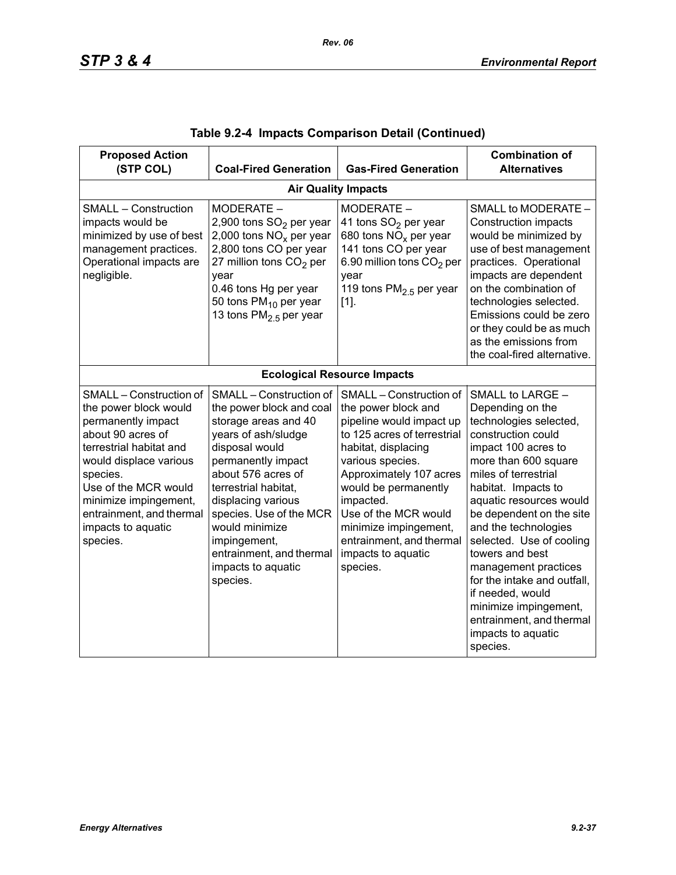| <b>Proposed Action</b><br>(STP COL)                                                                                                                                                                                                                                         | <b>Coal-Fired Generation</b>                                                                                                                                                                                                                                                                                                              | <b>Gas-Fired Generation</b>                                                                                                                                                                                                                                                                                                         | <b>Combination of</b><br><b>Alternatives</b>                                                                                                                                                                                                                                                                                                                                                                                                                                       |  |  |  |  |
|-----------------------------------------------------------------------------------------------------------------------------------------------------------------------------------------------------------------------------------------------------------------------------|-------------------------------------------------------------------------------------------------------------------------------------------------------------------------------------------------------------------------------------------------------------------------------------------------------------------------------------------|-------------------------------------------------------------------------------------------------------------------------------------------------------------------------------------------------------------------------------------------------------------------------------------------------------------------------------------|------------------------------------------------------------------------------------------------------------------------------------------------------------------------------------------------------------------------------------------------------------------------------------------------------------------------------------------------------------------------------------------------------------------------------------------------------------------------------------|--|--|--|--|
|                                                                                                                                                                                                                                                                             | <b>Air Quality Impacts</b>                                                                                                                                                                                                                                                                                                                |                                                                                                                                                                                                                                                                                                                                     |                                                                                                                                                                                                                                                                                                                                                                                                                                                                                    |  |  |  |  |
| <b>SMALL - Construction</b><br>impacts would be<br>minimized by use of best<br>management practices.<br>Operational impacts are<br>negligible.                                                                                                                              | MODERATE -<br>2,900 tons SO <sub>2</sub> per year<br>2,000 tons $NOx$ per year<br>2,800 tons CO per year<br>27 million tons $CO2$ per<br>year<br>0.46 tons Hg per year<br>50 tons PM <sub>10</sub> per year<br>13 tons PM <sub>2.5</sub> per year                                                                                         | MODERATE -<br>41 tons SO <sub>2</sub> per year<br>680 tons $NOx$ per year<br>141 tons CO per year<br>6.90 million tons CO <sub>2</sub> per<br>vear<br>119 tons $PM2.5$ per year<br>$[1]$ .                                                                                                                                          | SMALL to MODERATE -<br><b>Construction impacts</b><br>would be minimized by<br>use of best management<br>practices. Operational<br>impacts are dependent<br>on the combination of<br>technologies selected.<br>Emissions could be zero<br>or they could be as much<br>as the emissions from<br>the coal-fired alternative.                                                                                                                                                         |  |  |  |  |
|                                                                                                                                                                                                                                                                             |                                                                                                                                                                                                                                                                                                                                           | <b>Ecological Resource Impacts</b>                                                                                                                                                                                                                                                                                                  |                                                                                                                                                                                                                                                                                                                                                                                                                                                                                    |  |  |  |  |
| SMALL - Construction of<br>the power block would<br>permanently impact<br>about 90 acres of<br>terrestrial habitat and<br>would displace various<br>species.<br>Use of the MCR would<br>minimize impingement,<br>entrainment, and thermal<br>impacts to aquatic<br>species. | SMALL - Construction of<br>the power block and coal<br>storage areas and 40<br>years of ash/sludge<br>disposal would<br>permanently impact<br>about 576 acres of<br>terrestrial habitat,<br>displacing various<br>species. Use of the MCR<br>would minimize<br>impingement,<br>entrainment, and thermal<br>impacts to aquatic<br>species. | SMALL - Construction of<br>the power block and<br>pipeline would impact up<br>to 125 acres of terrestrial<br>habitat, displacing<br>various species.<br>Approximately 107 acres<br>would be permanently<br>impacted.<br>Use of the MCR would<br>minimize impingement,<br>entrainment, and thermal<br>impacts to aquatic<br>species. | SMALL to LARGE -<br>Depending on the<br>technologies selected,<br>construction could<br>impact 100 acres to<br>more than 600 square<br>miles of terrestrial<br>habitat. Impacts to<br>aquatic resources would<br>be dependent on the site<br>and the technologies<br>selected. Use of cooling<br>towers and best<br>management practices<br>for the intake and outfall,<br>if needed, would<br>minimize impingement,<br>entrainment, and thermal<br>impacts to aquatic<br>species. |  |  |  |  |

|  |  | Table 9.2-4  Impacts Comparison Detail (Continued) |  |  |  |
|--|--|----------------------------------------------------|--|--|--|
|--|--|----------------------------------------------------|--|--|--|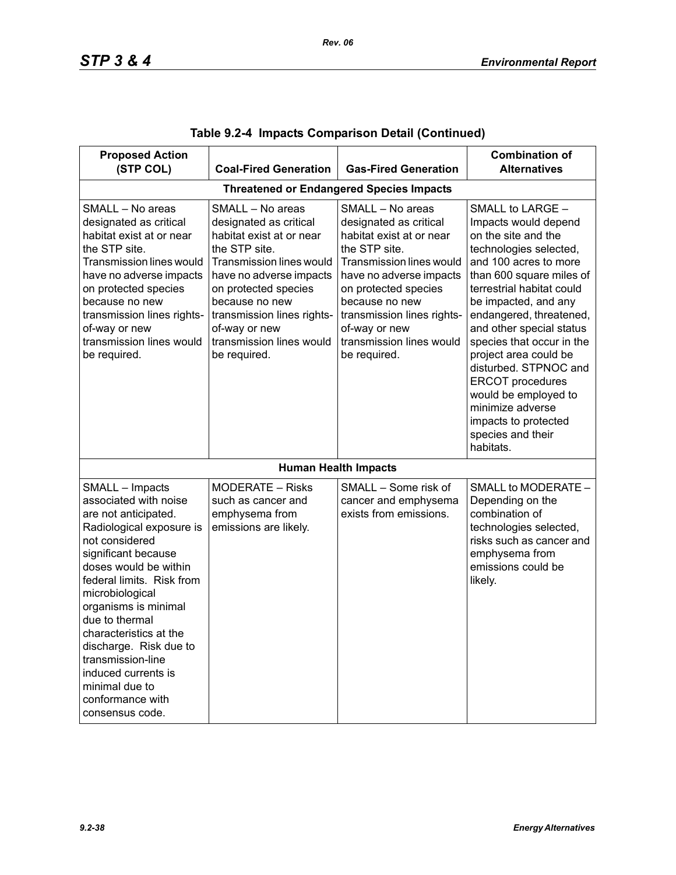| <b>Proposed Action</b>                                                                                                                                                                                                                                                                                                                                                                                            |                                                                                                                                                                                                                                                                                     |                                                                                                                                                                                                                                                                                            | <b>Combination of</b>                                                                                                                                                                                                                                                                                                                                                                                                                                                      |
|-------------------------------------------------------------------------------------------------------------------------------------------------------------------------------------------------------------------------------------------------------------------------------------------------------------------------------------------------------------------------------------------------------------------|-------------------------------------------------------------------------------------------------------------------------------------------------------------------------------------------------------------------------------------------------------------------------------------|--------------------------------------------------------------------------------------------------------------------------------------------------------------------------------------------------------------------------------------------------------------------------------------------|----------------------------------------------------------------------------------------------------------------------------------------------------------------------------------------------------------------------------------------------------------------------------------------------------------------------------------------------------------------------------------------------------------------------------------------------------------------------------|
| (STP COL)                                                                                                                                                                                                                                                                                                                                                                                                         | <b>Coal-Fired Generation</b>                                                                                                                                                                                                                                                        | <b>Gas-Fired Generation</b>                                                                                                                                                                                                                                                                | <b>Alternatives</b>                                                                                                                                                                                                                                                                                                                                                                                                                                                        |
|                                                                                                                                                                                                                                                                                                                                                                                                                   |                                                                                                                                                                                                                                                                                     | <b>Threatened or Endangered Species Impacts</b>                                                                                                                                                                                                                                            |                                                                                                                                                                                                                                                                                                                                                                                                                                                                            |
| SMALL - No areas<br>designated as critical<br>habitat exist at or near<br>the STP site.<br><b>Transmission lines would</b><br>have no adverse impacts<br>on protected species<br>because no new<br>transmission lines rights-<br>of-way or new<br>transmission lines would<br>be required.                                                                                                                        | SMALL - No areas<br>designated as critical<br>habitat exist at or near<br>the STP site.<br>Transmission lines would<br>have no adverse impacts<br>on protected species<br>because no new<br>transmission lines rights-<br>of-way or new<br>transmission lines would<br>be required. | SMALL - No areas<br>designated as critical<br>habitat exist at or near<br>the STP site.<br><b>Transmission lines would</b><br>have no adverse impacts<br>on protected species<br>because no new<br>transmission lines rights-<br>of-way or new<br>transmission lines would<br>be required. | SMALL to LARGE -<br>Impacts would depend<br>on the site and the<br>technologies selected,<br>and 100 acres to more<br>than 600 square miles of<br>terrestrial habitat could<br>be impacted, and any<br>endangered, threatened,<br>and other special status<br>species that occur in the<br>project area could be<br>disturbed. STPNOC and<br><b>ERCOT</b> procedures<br>would be employed to<br>minimize adverse<br>impacts to protected<br>species and their<br>habitats. |
|                                                                                                                                                                                                                                                                                                                                                                                                                   |                                                                                                                                                                                                                                                                                     | <b>Human Health Impacts</b>                                                                                                                                                                                                                                                                |                                                                                                                                                                                                                                                                                                                                                                                                                                                                            |
| SMALL - Impacts<br>associated with noise<br>are not anticipated.<br>Radiological exposure is<br>not considered<br>significant because<br>doses would be within<br>federal limits. Risk from<br>microbiological<br>organisms is minimal<br>due to thermal<br>characteristics at the<br>discharge. Risk due to<br>transmission-line<br>induced currents is<br>minimal due to<br>conformance with<br>consensus code. | MODERATE - Risks<br>such as cancer and<br>emphysema from<br>emissions are likely.                                                                                                                                                                                                   | SMALL - Some risk of<br>cancer and emphysema<br>exists from emissions.                                                                                                                                                                                                                     | SMALL to MODERATE -<br>Depending on the<br>combination of<br>technologies selected,<br>risks such as cancer and<br>emphysema from<br>emissions could be<br>likely.                                                                                                                                                                                                                                                                                                         |

|  |  | Table 9.2-4  Impacts Comparison Detail (Continued) |  |  |
|--|--|----------------------------------------------------|--|--|
|--|--|----------------------------------------------------|--|--|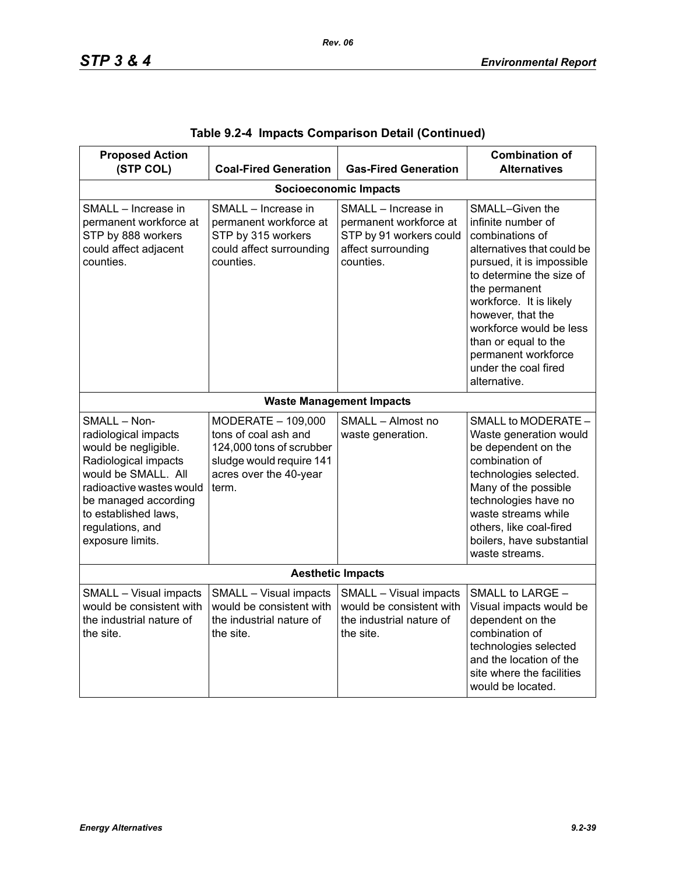| <b>Proposed Action</b><br>(STP COL)                                                                                                                                                                                             | <b>Coal-Fired Generation</b>                                                                                                          | <b>Gas-Fired Generation</b>                                                                                 | <b>Combination of</b><br><b>Alternatives</b>                                                                                                                                                                                                                                                                                       |  |  |
|---------------------------------------------------------------------------------------------------------------------------------------------------------------------------------------------------------------------------------|---------------------------------------------------------------------------------------------------------------------------------------|-------------------------------------------------------------------------------------------------------------|------------------------------------------------------------------------------------------------------------------------------------------------------------------------------------------------------------------------------------------------------------------------------------------------------------------------------------|--|--|
|                                                                                                                                                                                                                                 |                                                                                                                                       | <b>Socioeconomic Impacts</b>                                                                                |                                                                                                                                                                                                                                                                                                                                    |  |  |
| SMALL - Increase in<br>permanent workforce at<br>STP by 888 workers<br>could affect adjacent<br>counties.                                                                                                                       | SMALL - Increase in<br>permanent workforce at<br>STP by 315 workers<br>could affect surrounding<br>counties.                          | SMALL - Increase in<br>permanent workforce at<br>STP by 91 workers could<br>affect surrounding<br>counties. | SMALL-Given the<br>infinite number of<br>combinations of<br>alternatives that could be<br>pursued, it is impossible<br>to determine the size of<br>the permanent<br>workforce. It is likely<br>however, that the<br>workforce would be less<br>than or equal to the<br>permanent workforce<br>under the coal fired<br>alternative. |  |  |
|                                                                                                                                                                                                                                 |                                                                                                                                       | <b>Waste Management Impacts</b>                                                                             |                                                                                                                                                                                                                                                                                                                                    |  |  |
| SMALL - Non-<br>radiological impacts<br>would be negligible.<br>Radiological impacts<br>would be SMALL. All<br>radioactive wastes would<br>be managed according<br>to established laws,<br>regulations, and<br>exposure limits. | MODERATE - 109,000<br>tons of coal ash and<br>124,000 tons of scrubber<br>sludge would require 141<br>acres over the 40-year<br>term. | SMALL - Almost no<br>waste generation.                                                                      | SMALL to MODERATE -<br>Waste generation would<br>be dependent on the<br>combination of<br>technologies selected.<br>Many of the possible<br>technologies have no<br>waste streams while<br>others, like coal-fired<br>boilers, have substantial<br>waste streams.                                                                  |  |  |
| <b>Aesthetic Impacts</b>                                                                                                                                                                                                        |                                                                                                                                       |                                                                                                             |                                                                                                                                                                                                                                                                                                                                    |  |  |
| SMALL - Visual impacts<br>would be consistent with<br>the industrial nature of<br>the site.                                                                                                                                     | SMALL - Visual impacts<br>would be consistent with<br>the industrial nature of<br>the site.                                           | SMALL - Visual impacts<br>would be consistent with<br>the industrial nature of<br>the site.                 | SMALL to LARGE -<br>Visual impacts would be<br>dependent on the<br>combination of<br>technologies selected<br>and the location of the<br>site where the facilities<br>would be located.                                                                                                                                            |  |  |

|  |  | Table 9.2-4 Impacts Comparison Detail (Continued) |  |  |
|--|--|---------------------------------------------------|--|--|
|--|--|---------------------------------------------------|--|--|